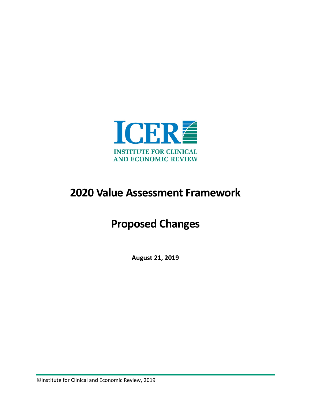

# **2020 Value Assessment Framework**

# **Proposed Changes**

**August 21, 2019**

©Institute for Clinical and Economic Review, 2019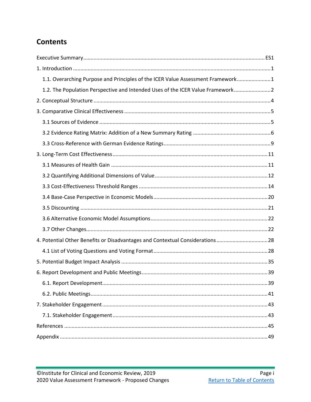## <span id="page-1-1"></span><span id="page-1-0"></span>**Contents**

| 1.1. Overarching Purpose and Principles of the ICER Value Assessment Framework1 |
|---------------------------------------------------------------------------------|
| 1.2. The Population Perspective and Intended Uses of the ICER Value Framework 2 |
|                                                                                 |
|                                                                                 |
|                                                                                 |
|                                                                                 |
|                                                                                 |
|                                                                                 |
|                                                                                 |
|                                                                                 |
|                                                                                 |
|                                                                                 |
|                                                                                 |
|                                                                                 |
|                                                                                 |
| 4. Potential Other Benefits or Disadvantages and Contextual Considerations28    |
|                                                                                 |
|                                                                                 |
|                                                                                 |
|                                                                                 |
|                                                                                 |
|                                                                                 |
|                                                                                 |
|                                                                                 |
|                                                                                 |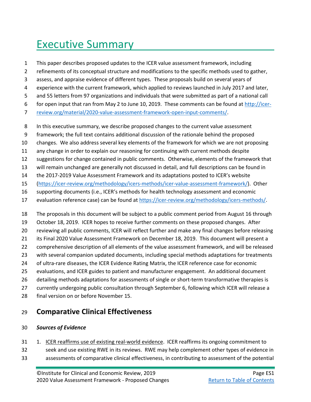# <span id="page-2-0"></span>Executive Summary

- This paper describes proposed updates to the ICER value assessment framework, including
- refinements of its conceptual structure and modifications to the specific methods used to gather,
- assess, and appraise evidence of different types. These proposals build on several years of
- experience with the current framework, which applied to reviews launched in July 2017 and later,
- and 55 letters from 97 organizations and individuals that were submitted as part of a national call
- for open input that ran from May 2 to June 10, 2019. These comments can be found at [http://icer-](http://icer-review.org/material/2020-value-assessment-framework-open-input-comments/)
- [review.org/material/2020-value-assessment-framework-open-input-comments/.](http://icer-review.org/material/2020-value-assessment-framework-open-input-comments/)
- In this executive summary, we describe proposed changes to the current value assessment
- framework; the full text contains additional discussion of the rationale behind the proposed
- changes. We also address several key elements of the framework for which we are not proposing
- any change in order to explain our reasoning for continuing with current methods despite
- suggestions for change contained in public comments. Otherwise, elements of the framework that
- will remain unchanged are generally not discussed in detail, and full descriptions can be found in
- the 2017-2019 Value Assessment Framework and its adaptations posted to ICER's website
- [\(https://icer-review.org/methodology/icers-methods/icer-value-assessment-framework/\)](https://icer-review.org/methodology/icers-methods/icer-value-assessment-framework/). Other
- supporting documents (i.e., ICER's methods for health technology assessment and economic
- evaluation reference case) can be found at [https://icer-review.org/methodology/icers-methods/.](https://icer-review.org/methodology/icers-methods/)
- The proposals in this document will be subject to a public comment period from August 16 through
- October 18, 2019. ICER hopes to receive further comments on these proposed changes. After
- reviewing all public comments, ICER will reflect further and make any final changes before releasing
- its Final 2020 Value Assessment Framework on December 18, 2019. This document will present a
- comprehensive description of all elements of the value assessment framework, and will be released
- with several companion updated documents, including special methods adaptations for treatments
- of ultra-rare diseases, the ICER Evidence Rating Matrix, the ICER reference case for economic
- evaluations, and ICER guides to patient and manufacturer engagement. An additional document
- detailing methods adaptations for assessments of single or short-term transformative therapies is
- currently undergoing public consultation through September 6, following which ICER will release a
- final version on or before November 15.

## **Comparative Clinical Effectiveness**

### *Sources of Evidence*

- 1. ICER reaffirms use of existing real-world evidence. ICER reaffirms its ongoing commitment to
- seek and use existing RWE in its reviews. RWE may help complement other types of evidence in
- assessments of comparative clinical effectiveness, in contributing to assessment of the potential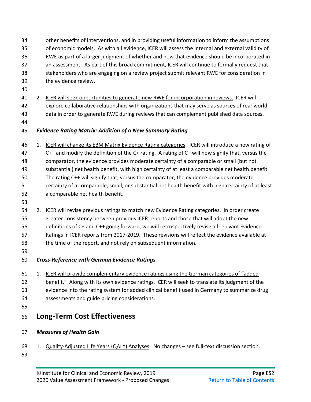- other benefits of interventions, and in providing useful information to inform the assumptions of economic models. As with all evidence, ICER will assess the internal and external validity of RWE as part of a larger judgment of whether and how that evidence should be incorporated in an assessment. As part of this broad commitment, ICER will continue to formally request that stakeholders who are engaging on a review project submit relevant RWE for consideration in the evidence review.
- 
- 2. ICER will seek opportunities to generate new RWE for incorporation in reviews. ICER will explore collaborative relationships with organizations that may serve as sources of real-world data in order to generate RWE during reviews that can complement published data sources.
- 

## *Evidence Rating Matrix: Addition of a New Summary Rating*

 1. ICER will change its EBM Matrix Evidence Rating categories. ICER will introduce a new rating of C++ and modify the definition of the C+ rating. A rating of C+ will now signify that, versus the comparator, the evidence provides moderate certainty of a comparable or small (but not substantial) net health benefit, with high certainty of at least a comparable net health benefit. The rating C++ will signify that, versus the comparator, the evidence provides moderate certainty of a comparable, small, or substantial net health benefit with high certainty of at least a comparable net health benefit.

 2. ICER will revise previous ratings to match new Evidence Rating categories. In order create greater consistency between previous ICER reports and those that will adopt the new definitions of C+ and C++ going forward, we will retrospectively revise all relevant Evidence Ratings in ICER reports from 2017-2019. These revisions will reflect the evidence available at the time of the report, and not rely on subsequent information.

## *Cross-Reference with German Evidence Ratings*

- 1. ICER will provide complementary evidence ratings using the German categories of "added 62 benefit." Along with its own evidence ratings, ICER will seek to translate its judgment of the evidence into the rating system for added clinical benefit used in Germany to summarize drug
- assessments and guide pricing considerations.
- 

# **Long-Term Cost Effectiveness**

- *Measures of Health Gain*
- 1. Quality-Adjusted Life Years (QALY) Analyses. No changes see full-text discussion section.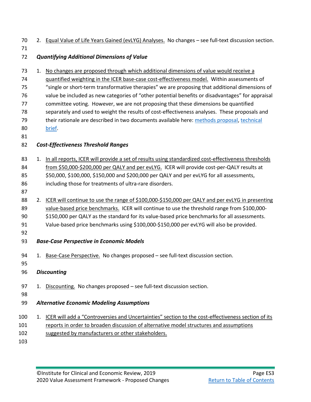|  |  |  | 70 2. Equal Value of Life Years Gained (evLYG) Analyses. No changes - see full-text discussion section. |  |
|--|--|--|---------------------------------------------------------------------------------------------------------|--|
|--|--|--|---------------------------------------------------------------------------------------------------------|--|

## *Quantifying Additional Dimensions of Value*

| 73 |    | 1. No changes are proposed through which additional dimensions of value would receive a             |
|----|----|-----------------------------------------------------------------------------------------------------|
| 74 |    | guantified weighting in the ICER base-case cost-effectiveness model. Within assessments of          |
| 75 |    | "single or short-term transformative therapies" we are proposing that additional dimensions of      |
| 76 |    | value be included as new categories of "other potential benefits or disadvantages" for appraisal    |
| 77 |    | committee voting. However, we are not proposing that these dimensions be quantified                 |
| 78 |    | separately and used to weight the results of cost-effectiveness analyses. These proposals and       |
| 79 |    | their rationale are described in two documents available here: methods proposal, technical          |
| 80 |    | brief.                                                                                              |
| 81 |    |                                                                                                     |
| 82 |    | <b>Cost-Effectiveness Threshold Ranges</b>                                                          |
|    |    |                                                                                                     |
| 83 | 1. | In all reports, ICER will provide a set of results using standardized cost-effectiveness thresholds |
| 84 |    | from \$50,000-\$200,000 per QALY and per evLYG. ICER will provide cost-per-QALY results at          |
| 85 |    | \$50,000, \$100,000, \$150,000 and \$200,000 per QALY and per evLYG for all assessments,            |
| 86 |    | including those for treatments of ultra-rare disorders.                                             |
| 87 |    |                                                                                                     |
| 88 | 2. | ICER will continue to use the range of \$100,000-\$150,000 per QALY and per evLYG in presenting     |
|    |    |                                                                                                     |

- 89 value-based price benchmarks. ICER will continue to use the threshold range from \$100,000-\$150,000 per QALY as the standard for its value-based price benchmarks for all assessments.
- Value-based price benchmarks using \$100,000-\$150,000 per evLYG will also be provided.
- 

## *Base-Case Perspective in Economic Models*

- 94 1. Base-Case Perspective. No changes proposed see full-text discussion section.
- 
- *Discounting*
- 97 1. Discounting. No changes proposed see full-text discussion section.
- 
- *Alternative Economic Modeling Assumptions*
- 100 1. ICER will add a "Controversies and Uncertainties" section to the cost-effectiveness section of its
- reports in order to broaden discussion of alternative model structures and assumptions
- suggested by manufacturers or other stakeholders.
-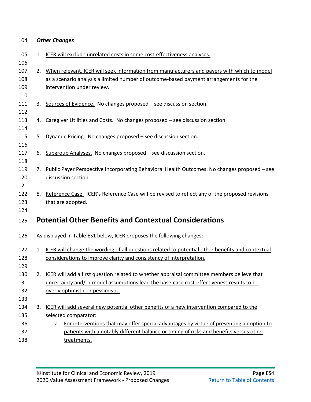| 104 |  | <b>Other Changes</b> |
|-----|--|----------------------|
|-----|--|----------------------|

| 105<br>106 |    | 1. ICER will exclude unrelated costs in some cost-effectiveness analyses.                           |
|------------|----|-----------------------------------------------------------------------------------------------------|
| 107        | 2. | When relevant, ICER will seek information from manufacturers and payers with which to model         |
| 108        |    | as a scenario analysis a limited number of outcome-based payment arrangements for the               |
| 109        |    | intervention under review.                                                                          |
| 110        |    |                                                                                                     |
| 111        |    | 3. Sources of Evidence. No changes proposed – see discussion section.                               |
| 112        |    |                                                                                                     |
| 113        |    | 4. Caregiver Utilities and Costs. No changes proposed - see discussion section.                     |
| 114        |    |                                                                                                     |
| 115        | 5. | Dynamic Pricing. No changes proposed - see discussion section.                                      |
| 116        |    |                                                                                                     |
| 117        | 6. | Subgroup Analyses. No changes proposed - see discussion section.                                    |
| 118        |    |                                                                                                     |
| 119        |    | 7. Public Payer Perspective Incorporating Behavioral Health Outcomes. No changes proposed - see     |
| 120        |    | discussion section.                                                                                 |
| 121        |    |                                                                                                     |
| 122        |    | 8. Reference Case. ICER's Reference Case will be revised to reflect any of the proposed revisions   |
| 123        |    | that are adopted.                                                                                   |
| 124        |    |                                                                                                     |
| 125        |    | <b>Potential Other Benefits and Contextual Considerations</b>                                       |
| 126        |    | As displayed in Table ES1 below, ICER proposes the following changes:                               |
| 127        |    | 1. ICER will change the wording of all questions related to potential other benefits and contextual |
| 128        |    | considerations to improve clarity and consistency of interpretation.                                |
| 129        |    |                                                                                                     |
| 130        |    | 2. ICER will add a first question related to whether appraisal committee members believe that       |
| 131        |    | uncertainty and/or model assumptions lead the base-case cost-effectiveness results to be            |
| 132        |    | overly optimistic or pessimistic.                                                                   |
| 133        |    |                                                                                                     |
| 134        | 3. | ICER will add several new potential other benefits of a new intervention compared to the            |
| 135        |    | selected comparator:                                                                                |
| 136        |    | a. For interventions that may offer special advantages by virtue of presenting an option to         |
| 137        |    | patients with a notably different balance or timing of risks and benefits versus other              |
| 138        |    | treatments.                                                                                         |
|            |    |                                                                                                     |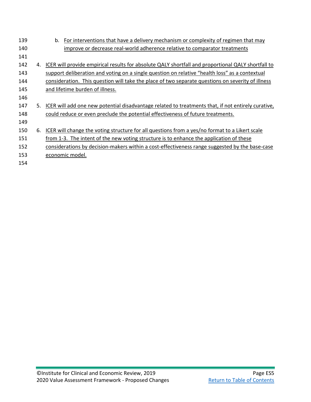| 139 |    | For interventions that have a delivery mechanism or complexity of regimen that may<br>b.           |
|-----|----|----------------------------------------------------------------------------------------------------|
| 140 |    | improve or decrease real-world adherence relative to comparator treatments                         |
| 141 |    |                                                                                                    |
| 142 | 4. | ICER will provide empirical results for absolute QALY shortfall and proportional QALY shortfall to |
| 143 |    | support deliberation and voting on a single question on relative "health loss" as a contextual     |
| 144 |    | consideration. This question will take the place of two separate questions on severity of illness  |
| 145 |    | and lifetime burden of illness.                                                                    |
| 146 |    |                                                                                                    |
| 147 | 5. | ICER will add one new potential disadvantage related to treatments that, if not entirely curative, |
| 148 |    | could reduce or even preclude the potential effectiveness of future treatments.                    |
| 149 |    |                                                                                                    |
| 150 | 6. | ICER will change the voting structure for all questions from a yes/no format to a Likert scale     |
| 151 |    | from 1-3. The intent of the new voting structure is to enhance the application of these            |
| 152 |    | considerations by decision-makers within a cost-effectiveness range suggested by the base-case     |
| 153 |    | economic model.                                                                                    |
| 154 |    |                                                                                                    |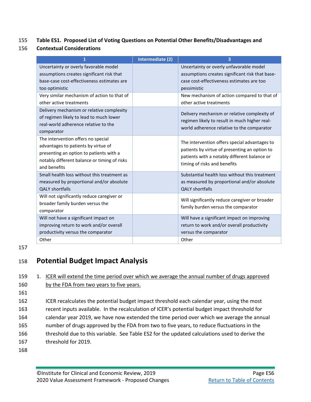## 155 **Table ES1. Proposed List of Voting Questions on Potential Other Benefits/Disadvantages and**

156 **Contextual Considerations**

| 1                                                                                                                                                                                    | Intermediate (2) | з                                                                                                                                                                              |
|--------------------------------------------------------------------------------------------------------------------------------------------------------------------------------------|------------------|--------------------------------------------------------------------------------------------------------------------------------------------------------------------------------|
| Uncertainty or overly favorable model<br>assumptions creates significant risk that<br>base-case cost-effectiveness estimates are<br>too optimistic                                   |                  | Uncertainty or overly unfavorable model<br>assumptions creates significant risk that base-<br>case cost-effectiveness estimates are too<br>pessimistic                         |
| Very similar mechanism of action to that of<br>other active treatments                                                                                                               |                  | New mechanism of action compared to that of<br>other active treatments                                                                                                         |
| Delivery mechanism or relative complexity<br>of regimen likely to lead to much lower<br>real-world adherence relative to the<br>comparator                                           |                  | Delivery mechanism or relative complexity of<br>regimen likely to result in much higher real-<br>world adherence relative to the comparator                                    |
| The intervention offers no special<br>advantages to patients by virtue of<br>presenting an option to patients with a<br>notably different balance or timing of risks<br>and benefits |                  | The intervention offers special advantages to<br>patients by virtue of presenting an option to<br>patients with a notably different balance or<br>timing of risks and benefits |
| Small health loss without this treatment as<br>measured by proportional and/or absolute<br><b>QALY shortfalls</b>                                                                    |                  | Substantial health loss without this treatment<br>as measured by proportional and/or absolute<br><b>QALY</b> shortfalls                                                        |
| Will not significantly reduce caregiver or<br>broader family burden versus the<br>comparator                                                                                         |                  | Will significantly reduce caregiver or broader<br>family burden versus the comparator                                                                                          |
| Will not have a significant impact on<br>improving return to work and/or overall<br>productivity versus the comparator                                                               |                  | Will have a significant impact on improving<br>return to work and/or overall productivity<br>versus the comparator                                                             |
| Other                                                                                                                                                                                |                  | Other                                                                                                                                                                          |

<sup>157</sup>

## 158 **Potential Budget Impact Analysis**

159 1. ICER will extend the time period over which we average the annual number of drugs approved 160 by the FDA from two years to five years.

161

 ICER recalculates the potential budget impact threshold each calendar year, using the most recent inputs available. In the recalculation of ICER's potential budget impact threshold for calendar year 2019, we have now extended the time period over which we average the annual number of drugs approved by the FDA from two to five years, to reduce fluctuations in the threshold due to this variable. See Table ES2 for the updated calculations used to derive the threshold for 2019.

168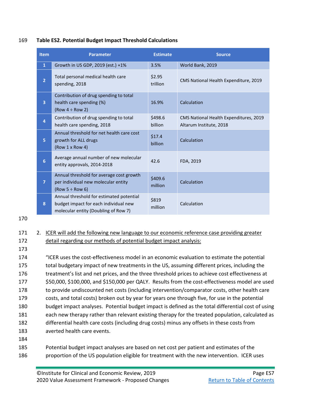169 **Table ES2. Potential Budget Impact Threshold Calculations**

| Item           | <b>Parameter</b>                                                                                                          | <b>Estimate</b>    | <b>Source</b>                                                     |
|----------------|---------------------------------------------------------------------------------------------------------------------------|--------------------|-------------------------------------------------------------------|
| $\mathbf{1}$   | Growth in US GDP, 2019 (est.) +1%                                                                                         | 3.5%               | World Bank, 2019                                                  |
| $\overline{2}$ | Total personal medical health care<br>spending, 2018                                                                      | \$2.95<br>trillion | CMS National Health Expenditure, 2019                             |
| $\overline{3}$ | Contribution of drug spending to total<br>health care spending (%)<br>$(Row 4 \div Row 2)$                                | 16.9%              | Calculation                                                       |
| $\overline{4}$ | Contribution of drug spending to total<br>health care spending, 2018                                                      | \$498.6<br>billion | CMS National Health Expenditures, 2019<br>Altarum Institute, 2018 |
| 5              | Annual threshold for net health care cost<br>growth for ALL drugs<br>(Row 1 x Row 4)                                      | \$17.4<br>billion  | Calculation                                                       |
| 6              | Average annual number of new molecular<br>entity approvals, 2014-2018                                                     | 42.6               | FDA, 2019                                                         |
| $\overline{7}$ | Annual threshold for average cost growth<br>per individual new molecular entity<br>$(Row 5 \div Row 6)$                   | \$409.6<br>million | Calculation                                                       |
| 8              | Annual threshold for estimated potential<br>budget impact for each individual new<br>molecular entity (Doubling of Row 7) | \$819<br>million   | Calculation                                                       |

170

#### 171 2. ICER will add the following new language to our economic reference case providing greater 172 detail regarding our methods of potential budget impact analysis:

173

 "ICER uses the cost-effectiveness model in an economic evaluation to estimate the potential total budgetary impact of new treatments in the US, assuming different prices, including the treatment's list and net prices, and the three threshold prices to achieve cost effectiveness at \$50,000, \$100,000, and \$150,000 per QALY. Results from the cost-effectiveness model are used to provide undiscounted net costs (including intervention/comparator costs, other health care costs, and total costs) broken out by year for years one through five, for use in the potential budget impact analyses. Potential budget impact is defined as the total differential cost of using each new therapy rather than relevant existing therapy for the treated population, calculated as differential health care costs (including drug costs) minus any offsets in these costs from averted health care events. 184

185 Potential budget impact analyses are based on net cost per patient and estimates of the 186 proportion of the US population eligible for treatment with the new intervention. ICER uses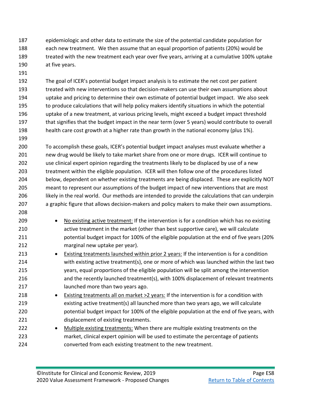epidemiologic and other data to estimate the size of the potential candidate population for each new treatment. We then assume that an equal proportion of patients (20%) would be treated with the new treatment each year over five years, arriving at a cumulative 100% uptake at five years.

- The goal of ICER's potential budget impact analysis is to estimate the net cost per patient treated with new interventions so that decision-makers can use their own assumptions about uptake and pricing to determine their own estimate of potential budget impact. We also seek to produce calculations that will help policy makers identify situations in which the potential uptake of a new treatment, at various pricing levels, might exceed a budget impact threshold that signifies that the budget impact in the near term (over 5 years) would contribute to overall health care cost growth at a higher rate than growth in the national economy (plus 1%).
- To accomplish these goals, ICER's potential budget impact analyses must evaluate whether a new drug would be likely to take market share from one or more drugs. ICER will continue to use clinical expert opinion regarding the treatments likely to be displaced by use of a new treatment within the eligible population. ICER will then follow one of the procedures listed below, dependent on whether existing treatments are being displaced. These are explicitly NOT meant to represent our assumptions of the budget impact of new interventions that are most likely in the real world. Our methods are intended to provide the calculations that can underpin a graphic figure that allows decision-makers and policy makers to make their own assumptions.
- No existing active treatment: If the intervention is for a condition which has no existing active treatment in the market (other than best supportive care), we will calculate potential budget impact for 100% of the eligible population at the end of five years (20% marginal new uptake per year).
- 213 Existing treatments launched within prior 2 years: If the intervention is for a condition with existing active treatment(s), one or more of which was launched within the last two years, equal proportions of the eligible population will be split among the intervention and the recently launched treatment(s), with 100% displacement of relevant treatments launched more than two years ago.
- Existing treatments all on market >2 years: If the intervention is for a condition with existing active treatment(s) all launched more than two years ago, we will calculate 220 potential budget impact for 100% of the eligible population at the end of five years, with displacement of existing treatments.
- Multiple existing treatments: When there are multiple existing treatments on the market, clinical expert opinion will be used to estimate the percentage of patients converted from each existing treatment to the new treatment.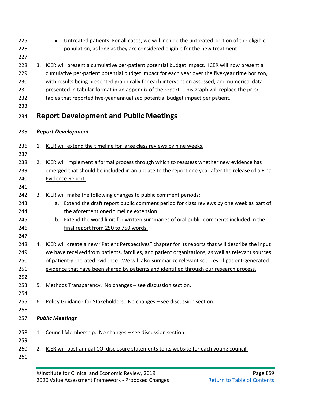| 225<br>226<br>227                      | Untreated patients: For all cases, we will include the untreated portion of the eligible<br>$\bullet$<br>population, as long as they are considered eligible for the new treatment.                                                                                                                                                                                                                                                                                             |
|----------------------------------------|---------------------------------------------------------------------------------------------------------------------------------------------------------------------------------------------------------------------------------------------------------------------------------------------------------------------------------------------------------------------------------------------------------------------------------------------------------------------------------|
| 228<br>229<br>230<br>231<br>232<br>233 | 3. ICER will present a cumulative per-patient potential budget impact. ICER will now present a<br>cumulative per-patient potential budget impact for each year over the five-year time horizon,<br>with results being presented graphically for each intervention assessed, and numerical data<br>presented in tabular format in an appendix of the report. This graph will replace the prior<br>tables that reported five-year annualized potential budget impact per patient. |
| 234                                    | <b>Report Development and Public Meetings</b>                                                                                                                                                                                                                                                                                                                                                                                                                                   |
| 235                                    | <b>Report Development</b>                                                                                                                                                                                                                                                                                                                                                                                                                                                       |
| 236<br>237                             | 1. ICER will extend the timeline for large class reviews by nine weeks.                                                                                                                                                                                                                                                                                                                                                                                                         |
| 238<br>239<br>240                      | 2. ICER will implement a formal process through which to reassess whether new evidence has<br>emerged that should be included in an update to the report one year after the release of a Final<br>Evidence Report.                                                                                                                                                                                                                                                              |
| 241<br>242<br>243<br>244<br>245<br>246 | 3. ICER will make the following changes to public comment periods:<br>Extend the draft report public comment period for class reviews by one week as part of<br>a.<br>the aforementioned timeline extension.<br><b>Extend the word limit for written summaries of oral public comments included in the</b><br>b.<br>final report from 250 to 750 words.                                                                                                                         |
| 247<br>248<br>249<br>250<br>251<br>252 | 4. ICER will create a new "Patient Perspectives" chapter for its reports that will describe the input<br>we have received from patients, families, and patient organizations, as well as relevant sources<br>of patient-generated evidence. We will also summarize relevant sources of patient-generated<br>evidence that have been shared by patients and identified through our research process.                                                                             |
| 253<br>254                             | 5. Methods Transparency. No changes - see discussion section.                                                                                                                                                                                                                                                                                                                                                                                                                   |
| 255<br>256                             | 6. Policy Guidance for Stakeholders. No changes - see discussion section.                                                                                                                                                                                                                                                                                                                                                                                                       |
| 257                                    | <b>Public Meetings</b>                                                                                                                                                                                                                                                                                                                                                                                                                                                          |
| 258<br>259                             | 1. Council Membership. No changes - see discussion section.                                                                                                                                                                                                                                                                                                                                                                                                                     |
| 260<br>261                             | 2. ICER will post annual COI disclosure statements to its website for each voting council.                                                                                                                                                                                                                                                                                                                                                                                      |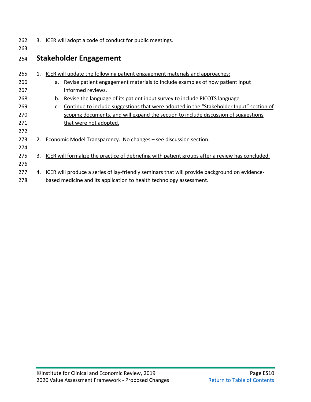| 262 | 3. ICER will adopt a code of conduct for public meetings. |
|-----|-----------------------------------------------------------|
|     |                                                           |

## 264 **Stakeholder Engagement**

263

| 265 |    |    | 1. ICER will update the following patient engagement materials and approaches:                      |
|-----|----|----|-----------------------------------------------------------------------------------------------------|
| 266 |    |    | a. Revise patient engagement materials to include examples of how patient input                     |
| 267 |    |    | informed reviews.                                                                                   |
| 268 |    | b. | Revise the language of its patient input survey to include PICOTS language                          |
| 269 |    | c. | Continue to include suggestions that were adopted in the "Stakeholder Input" section of             |
| 270 |    |    | scoping documents, and will expand the section to include discussion of suggestions                 |
| 271 |    |    | that were not adopted.                                                                              |
| 272 |    |    |                                                                                                     |
| 273 |    |    | 2. Economic Model Transparency. No changes – see discussion section.                                |
| 274 |    |    |                                                                                                     |
| 275 |    |    | 3. ICER will formalize the practice of debriefing with patient groups after a review has concluded. |
| 276 |    |    |                                                                                                     |
| 277 | 4. |    | ICER will produce a series of lay-friendly seminars that will provide background on evidence-       |
| 278 |    |    | based medicine and its application to health technology assessment.                                 |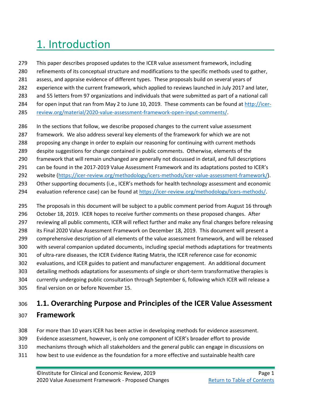# <span id="page-12-0"></span>1. Introduction

- This paper describes proposed updates to the ICER value assessment framework, including refinements of its conceptual structure and modifications to the specific methods used to gather, assess, and appraise evidence of different types. These proposals build on several years of experience with the current framework, which applied to reviews launched in July 2017 and later, and 55 letters from 97 organizations and individuals that were submitted as part of a national call for open input that ran from May 2 to June 10, 2019. These comments can be found at [http://icer-](http://icer-review.org/material/2020-value-assessment-framework-open-input-comments/)
- [review.org/material/2020-value-assessment-framework-open-input-comments/.](http://icer-review.org/material/2020-value-assessment-framework-open-input-comments/)
- In the sections that follow, we describe proposed changes to the current value assessment
- framework. We also address several key elements of the framework for which we are not
- proposing any change in order to explain our reasoning for continuing with current methods
- despite suggestions for change contained in public comments. Otherwise, elements of the
- framework that will remain unchanged are generally not discussed in detail, and full descriptions
- can be found in the 2017-2019 Value Assessment Framework and its adaptations posted to ICER's
- website [\(https://icer-review.org/methodology/icers-methods/icer-value-assessment-framework/\)](https://icer-review.org/methodology/icers-methods/icer-value-assessment-framework/).
- 293 Other supporting documents (i.e., ICER's methods for health technology assessment and economic
- 294 evaluation reference case) can be found at [https://icer-review.org/methodology/icers-methods/.](https://icer-review.org/methodology/icers-methods/)
- The proposals in this document will be subject to a public comment period from August 16 through October 18, 2019. ICER hopes to receive further comments on these proposed changes. After reviewing all public comments, ICER will reflect further and make any final changes before releasing its Final 2020 Value Assessment Framework on December 18, 2019. This document will present a comprehensive description of all elements of the value assessment framework, and will be released with several companion updated documents, including special methods adaptations for treatments of ultra-rare diseases, the ICER Evidence Rating Matrix, the ICER reference case for economic evaluations, and ICER guides to patient and manufacturer engagement. An additional document detailing methods adaptations for assessments of single or short-term transformative therapies is currently undergoing public consultation through September 6, following which ICER will release a final version on or before November 15.

# <span id="page-12-1"></span>**1.1. Overarching Purpose and Principles of the ICER Value Assessment**

## **Framework**

- For more than 10 years ICER has been active in developing methods for evidence assessment.
- Evidence assessment, however, is only one component of ICER's broader effort to provide
- mechanisms through which all stakeholders and the general public can engage in discussions on
- how best to use evidence as the foundation for a more effective and sustainable health care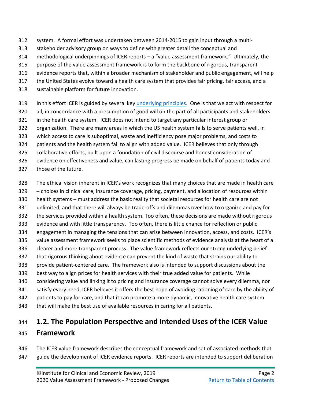- system. A formal effort was undertaken between 2014-2015 to gain input through a multi-
- stakeholder advisory group on ways to define with greater detail the conceptual and
- methodological underpinnings of ICER reports a "value assessment framework." Ultimately, the
- purpose of the value assessment framework is to form the backbone of rigorous, transparent
- evidence reports that, within a broader mechanism of stakeholder and public engagement, will help
- 317 the United States evolve toward a health care system that provides fair pricing, fair access, and a
- sustainable platform for future innovation.
- 319 In this effort ICER is guided by several ke[y underlying principles.](http://icer-review.org/wp-content/uploads/2018/08/ICER-HTA-Guide_082018.pdf) One is that we act with respect for
- all, in concordance with a presumption of good will on the part of all participants and stakeholders
- in the health care system. ICER does not intend to target any particular interest group or
- organization. There are many areas in which the US health system fails to serve patients well, in
- which access to care is suboptimal, waste and inefficiency pose major problems, and costs to
- patients and the health system fail to align with added value. ICER believes that only through
- collaborative efforts, built upon a foundation of civil discourse and honest consideration of
- evidence on effectiveness and value, can lasting progress be made on behalf of patients today and
- those of the future.
- The ethical vision inherent in ICER's work recognizes that many choices that are made in health care
- choices in clinical care, insurance coverage, pricing, payment, and allocation of resources within
- health systems must address the basic reality that societal resources for health care are not
- unlimited, and that there will always be trade-offs and dilemmas over how to organize and pay for
- the services provided within a health system. Too often, these decisions are made without rigorous
- evidence and with little transparency. Too often, there is little chance for reflection or public
- engagement in managing the tensions that can arise between innovation, access, and costs. ICER's
- value assessment framework seeks to place scientific methods of evidence analysis at the heart of a
- clearer and more transparent process. The value framework reflects our strong underlying belief
- that rigorous thinking about evidence can prevent the kind of waste that strains our ability to
- provide patient-centered care. The framework also is intended to support discussions about the
- best way to align prices for health services with their true added value for patients. While
- considering value and linking it to pricing and insurance coverage cannot solve every dilemma, nor
- satisfy every need, ICER believes it offers the best hope of avoiding rationing of care by the ability of
- patients to pay for care, and that it can promote a more dynamic, innovative health care system
- that will make the best use of available resources in caring for all patients.

## <span id="page-13-0"></span>**1.2. The Population Perspective and Intended Uses of the ICER Value**

## **Framework**

 The ICER value framework describes the conceptual framework and set of associated methods that guide the development of ICER evidence reports. ICER reports are intended to support deliberation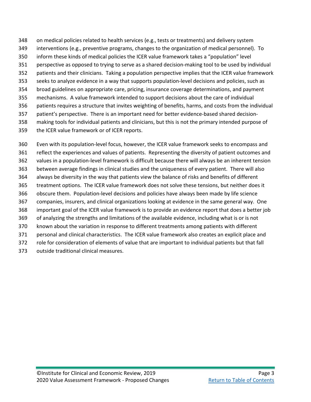on medical policies related to health services (e.g., tests or treatments) and delivery system interventions (e.g., preventive programs, changes to the organization of medical personnel). To inform these kinds of medical policies the ICER value framework takes a "population" level perspective as opposed to trying to serve as a shared decision-making tool to be used by individual patients and their clinicians. Taking a population perspective implies that the ICER value framework seeks to analyze evidence in a way that supports population-level decisions and policies, such as broad guidelines on appropriate care, pricing, insurance coverage determinations, and payment mechanisms. A value framework intended to support decisions about the care of individual patients requires a structure that invites weighting of benefits, harms, and costs from the individual patient's perspective. There is an important need for better evidence-based shared decision- making tools for individual patients and clinicians, but this is not the primary intended purpose of the ICER value framework or of ICER reports.

 Even with its population-level focus, however, the ICER value framework seeks to encompass and reflect the experiences and values of patients. Representing the diversity of patient outcomes and values in a population-level framework is difficult because there will always be an inherent tension between average findings in clinical studies and the uniqueness of every patient. There will also always be diversity in the way that patients view the balance of risks and benefits of different treatment options. The ICER value framework does not solve these tensions, but neither does it obscure them. Population-level decisions and policies have always been made by life science companies, insurers, and clinical organizations looking at evidence in the same general way. One important goal of the ICER value framework is to provide an evidence report that does a better job of analyzing the strengths and limitations of the available evidence, including what is or is not known about the variation in response to different treatments among patients with different personal and clinical characteristics. The ICER value framework also creates an explicit place and role for consideration of elements of value that are important to individual patients but that fall outside traditional clinical measures.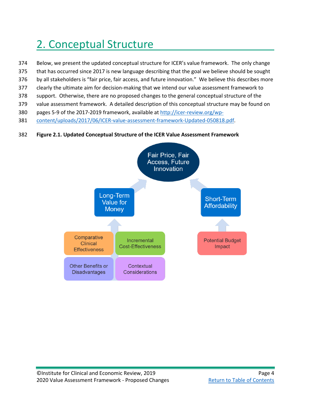# <span id="page-15-0"></span>2. Conceptual Structure

- Below, we present the updated conceptual structure for ICER's value framework. The only change
- that has occurred since 2017 is new language describing that the goal we believe should be sought
- by all stakeholders is "fair price, fair access, and future innovation." We believe this describes more
- clearly the ultimate aim for decision-making that we intend our value assessment framework to
- support. Otherwise, there are no proposed changes to the general conceptual structure of the
- value assessment framework. A detailed description of this conceptual structure may be found on
- pages 5-9 of the 2017-2019 framework, available a[t http://icer-review.org/wp-](http://icer-review.org/wp-content/uploads/2017/06/ICER-value-assessment-framework-Updated-050818.pdf)
- [content/uploads/2017/06/ICER-value-assessment-framework-Updated-050818.pdf.](http://icer-review.org/wp-content/uploads/2017/06/ICER-value-assessment-framework-Updated-050818.pdf)
- **Figure 2.1. Updated Conceptual Structure of the ICER Value Assessment Framework**

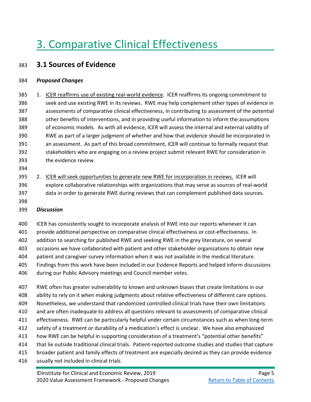# <span id="page-16-0"></span>3. Comparative Clinical Effectiveness

## <span id="page-16-1"></span>**3.1 Sources of Evidence**

#### *Proposed Changes*

385 1. ICER reaffirms use of existing real-world evidence. ICER reaffirms its ongoing commitment to seek and use existing RWE in its reviews. RWE may help complement other types of evidence in assessments of comparative clinical effectiveness, in contributing to assessment of the potential other benefits of interventions, and in providing useful information to inform the assumptions of economic models. As with all evidence, ICER will assess the internal and external validity of RWE as part of a larger judgment of whether and how that evidence should be incorporated in an assessment. As part of this broad commitment, ICER will continue to formally request that stakeholders who are engaging on a review project submit relevant RWE for consideration in the evidence review.

- 
- 2. ICER will seek opportunities to generate new RWE for incorporation in reviews. ICER will explore collaborative relationships with organizations that may serve as sources of real-world data in order to generate RWE during reviews that can complement published data sources.
- 

### *Discussion*

ICER has consistently sought to incorporate analysis of RWE into our reports whenever it can

provide additional perspective on comparative clinical effectiveness or cost-effectiveness. In

addition to searching for published RWE and seeking RWE in the grey literature, on several

- occasions we have collaborated with patient and other stakeholder organizations to obtain new
- patient and caregiver survey information when it was not available in the medical literature.
- Findings from this work have been included in our Evidence Reports and helped inform discussions during our Public Advisory meetings and Council member votes.
- RWE often has greater vulnerability to known and unknown biases that create limitations in our
- ability to rely on it when making judgments about relative effectiveness of different care options.
- Nonetheless, we understand that randomized controlled clinical trials have their own limitations
- and are often inadequate to address all questions relevant to assessments of comparative clinical
- effectiveness. RWE can be particularly helpful under certain circumstances such as when long-term
- safety of a treatment or durability of a medication's effect is unclear. We have also emphasized
- how RWE can be helpful in supporting consideration of a treatment's "potential other benefits"
- that lie outside traditional clinical trials. Patient-reported outcome studies and studies that capture
- broader patient and family effects of treatment are especially desired as they can provide evidence
- usually not included in clinical trials.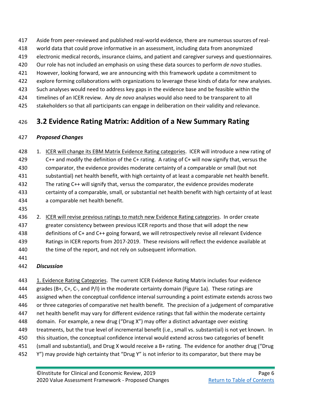- Aside from peer-reviewed and published real-world evidence, there are numerous sources of real-
- world data that could prove informative in an assessment, including data from anonymized
- electronic medical records, insurance claims, and patient and caregiver surveys and questionnaires.
- Our role has not included an emphasis on using these data sources to perform *de novo* studies.
- However, looking forward, we are announcing with this framework update a commitment to
- explore forming collaborations with organizations to leverage these kinds of data for new analyses.
- Such analyses would need to address key gaps in the evidence base and be feasible within the
- timelines of an ICER review. Any *de novo* analyses would also need to be transparent to all
- 425 stakeholders so that all participants can engage in deliberation on their validity and relevance.

## <span id="page-17-0"></span>**3.2 Evidence Rating Matrix: Addition of a New Summary Rating**

## *Proposed Changes*

- 1. ICER will change its EBM Matrix Evidence Rating categories. ICER will introduce a new rating of C++ and modify the definition of the C+ rating. A rating of C+ will now signify that, versus the comparator, the evidence provides moderate certainty of a comparable or small (but not substantial) net health benefit, with high certainty of at least a comparable net health benefit. The rating C++ will signify that, versus the comparator, the evidence provides moderate certainty of a comparable, small, or substantial net health benefit with high certainty of at least a comparable net health benefit.
- 
- 436 2. ICER will revise previous ratings to match new Evidence Rating categories. In order create greater consistency between previous ICER reports and those that will adopt the new definitions of C+ and C++ going forward, we will retrospectively revise all relevant Evidence Ratings in ICER reports from 2017-2019. These revisions will reflect the evidence available at 440 the time of the report, and not rely on subsequent information.
- 

## *Discussion*

 1. Evidence Rating Categories. The current ICER Evidence Rating Matrix includes four evidence grades (B+, C+, C-, and P/I) in the moderate certainty domain (Figure 1a). These ratings are assigned when the conceptual confidence interval surrounding a point estimate extends across two or three categories of comparative net health benefit. The precision of a judgement of comparative net health benefit may vary for different evidence ratings that fall within the moderate certainty domain. For example, a new drug ("Drug X") may offer a distinct advantage over existing treatments, but the true level of incremental benefit (i.e., small vs. substantial) is not yet known. In 450 this situation, the conceptual confidence interval would extend across two categories of benefit (small and substantial), and Drug X would receive a B+ rating. The evidence for another drug ("Drug 452 Y") may provide high certainty that "Drug Y" is not inferior to its comparator, but there may be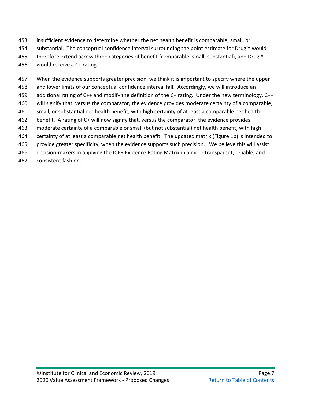- insufficient evidence to determine whether the net health benefit is comparable, small, or
- substantial. The conceptual confidence interval surrounding the point estimate for Drug Y would
- therefore extend across three categories of benefit (comparable, small, substantial), and Drug Y
- would receive a C+ rating.
- When the evidence supports greater precision, we think it is important to specify where the upper
- and lower limits of our conceptual confidence interval fall. Accordingly, we will introduce an
- additional rating of C++ and modify the definition of the C+ rating. Under the new terminology, C++
- will signify that, versus the comparator, the evidence provides moderate certainty of a comparable,
- small, or substantial net health benefit, with high certainty of at least a comparable net health
- benefit. A rating of C+ will now signify that, versus the comparator, the evidence provides
- moderate certainty of a comparable or small (but not substantial) net health benefit, with high
- certainty of at least a comparable net health benefit. The updated matrix (Figure 1b) is intended to
- provide greater specificity, when the evidence supports such precision. We believe this will assist
- decision-makers in applying the ICER Evidence Rating Matrix in a more transparent, reliable, and
- consistent fashion.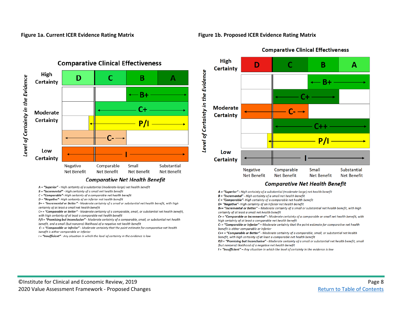#### **Figure 1a. Current ICER Evidence Rating Matrix Figure 1b. Proposed ICER Evidence Rating Matrix**



#### **Comparative Clinical Effectiveness**



#### **Comparative Net Health Benefit**

- A = "Superior" High certainty of a substantial (moderate-large) net health benefit
- $B$  = "Incremental" High certainty of a small net health benefit
- $C$  = "Comparable"- High certainty of a comparable net health benefit
- $D$  = "Negative" High certainty of an inferior net health benefit
- B+ = "Incremental or Better" Moderate certainty of a small or substantial net health benefit, with high certainty of at least a small net health benefit
- C+ = "Comparable or Better" Moderate certainty of a comparable, small, or substantial net health benefit, with high certainty of at least a comparable net health benefit
- P/I = "Promising but Inconclusive" Moderate certainty of a comparable, small, or substantial net health
- benefit, and a small (but nonzero) likelihood of a negative net health benefit
- C- = "Comparable or Inferior" Moderate certainty that the point estimate for comparative net health benefit is either comparable or inferior
- I = "Insufficient" Any situation in which the level of certainty in the evidence is low
- A = "Superior" High certainty of a substantial (moderate-large) net health benefit
- $B =$  "Incremental" High certainty of a small net health benefit
- C = "Comparable"- High certainty of a comparable net health benefit
- D= "Negative"- High certainty of an inferior net health benefit
- B+= "Incremental or Better" Moderate certainty of a small or substantial net health benefit, with high certainty of at least a small net health benefit
- C+ = "Comparable or Incremental" Moderate certainty of a comparable or small net health benefit, with high certainty of at least a comparable net health benefit
- C- = "Comparable or Inferior" Moderate certainty that the point estimate for comparative net health benefit is either comparable or inferior
- C++ = "Comparable or Better" Moderate certainty of a comparable, small, or substantial net health benefit, with high certainty of at least a comparable net health benefit
- $P/I$  = "Promising but Inconclusive" Moderate certainty of a small or substantial net health benefit, small (but nonzero) likelihood of a negative net health benefit
- I = "Insufficient" Any situation in which the level of certainty in the evidence is low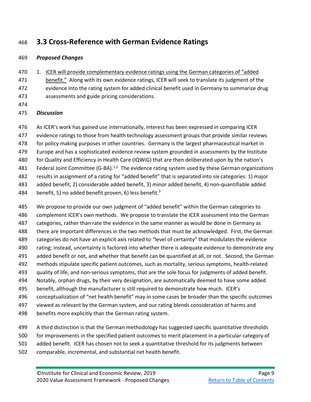## <span id="page-20-0"></span>**3.3 Cross-Reference with German Evidence Ratings**

### *Proposed Changes*

470 1. ICER will provide complementary evidence ratings using the German categories of "added" benefit." Along with its own evidence ratings, ICER will seek to translate its judgment of the evidence into the rating system for added clinical benefit used in Germany to summarize drug assessments and guide pricing considerations.

#### *Discussion*

 As ICER's work has gained use internationally, interest has been expressed in comparing ICER evidence ratings to those from health technology assessment groups that provide similar reviews 478 for policy making purposes in other countries. Germany is the largest pharmaceutical market in Europe and has a sophisticated evidence review system grounded in assessments by the Institute 480 for Quality and Efficiency in Health Care (IQWiG) that are then deliberated upon by the nation's Federal Joint Committee (G-BA).<sup>1,2</sup> The evidence rating system used by these German organizations results in assignment of a rating for "added benefit" that is separated into six categories: 1) major added benefit, 2) considerable added benefit, 3) minor added benefit, 4) non-quantifiable added 484 benefit, 5) no added benefit proven, 6) less benefit[.](#page-56-3)<sup>3</sup>

 We propose to provide our own judgment of "added benefit" within the German categories to 486 complement ICER's own methods. We propose to translate the ICER assessment into the German 487 categories, rather than rate the evidence in the same manner as would be done in Germany as there are important differences in the two methods that must be acknowledged. First, the German categories do not have an explicit axis related to "level of certainty" that modulates the evidence rating; instead, uncertainty is factored into whether there is adequate evidence to demonstrate any added benefit or not, and whether that benefit can be quantified at all, or not. Second, the German methods stipulate specific patient outcomes, such as mortality, serious symptoms, health-related quality of life, and non-serious symptoms, that are the sole focus for judgments of added benefit. Notably, orphan drugs, by their very designation, are automatically deemed to have some added benefit, although the manufacturer is still required to demonstrate how much. ICER's conceptualization of "net health benefit" may in some cases be broader than the specific outcomes viewed as relevant by the German system, and our rating blends consideration of harms and benefits more explicitly than the German rating system.

 A third distinction is that the German methodology has suggested specific quantitative thresholds for improvements in the specified patient outcomes to merit placement in a particular category of added benefit. ICER has chosen not to seek a quantitative threshold for its judgments between

comparable, incremental, and substantial net health benefit.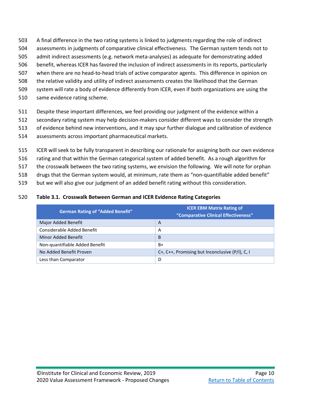- A final difference in the two rating systems is linked to judgments regarding the role of indirect
- assessments in judgments of comparative clinical effectiveness. The German system tends not to
- admit indirect assessments (e.g. network meta-analyses) as adequate for demonstrating added
- benefit, whereas ICER has favored the inclusion of indirect assessments in its reports, particularly
- when there are no head-to-head trials of active comparator agents. This difference in opinion on
- the relative validity and utility of indirect assessments creates the likelihood that the German
- system will rate a body of evidence differently from ICER, even if both organizations are using the
- same evidence rating scheme.
- Despite these important differences, we feel providing our judgment of the evidence within a
- secondary rating system may help decision-makers consider different ways to consider the strength
- of evidence behind new interventions, and it may spur further dialogue and calibration of evidence
- assessments across important pharmaceutical markets.
- ICER will seek to be fully transparent in describing our rationale for assigning both our own evidence
- rating and that within the German categorical system of added benefit. As a rough algorithm for
- the crosswalk between the two rating systems, we envision the following. We will note for orphan
- drugs that the German system would, at minimum, rate them as "non-quantifiable added benefit"
- but we will also give our judgment of an added benefit rating without this consideration.

#### **Table 3.1. Crosswalk Between German and ICER Evidence Rating Categories**

| <b>German Rating of "Added Benefit"</b> | <b>ICER EBM Matrix Rating of</b><br>"Comparative Clinical Effectiveness" |
|-----------------------------------------|--------------------------------------------------------------------------|
| Major Added Benefit                     | A                                                                        |
| Considerable Added Benefit              | A                                                                        |
| Minor Added Benefit                     | B                                                                        |
| Non-quantifiable Added Benefit          | B+                                                                       |
| No Added Benefit Proven                 | C+, C++, Promising but Inconclusive $(P/I)$ , C, I                       |
| Less than Comparator                    | D                                                                        |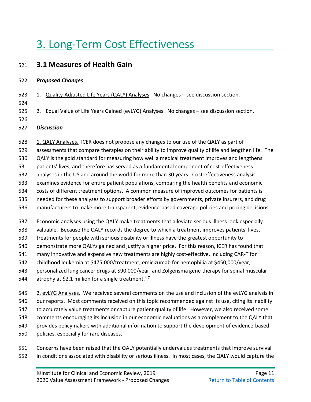# <span id="page-22-0"></span>3. Long-Term Cost Effectiveness

## <span id="page-22-1"></span>**3.1 Measures of Health Gain**

#### *Proposed Changes*

- 523 1. Quality-Adjusted Life Years (QALY) Analyses. No changes see discussion section.
- 
- 525 2. Equal Value of Life Years Gained (evLYG) Analyses. No changes see discussion section.
- *Discussion*
- 1. QALY Analyses. ICER does not propose any changes to our use of the QALY as part of
- assessments that compare therapies on their ability to improve quality of life and lengthen life. The
- QALY is the gold standard for measuring how well a medical treatment improves and lengthens
- patients' lives, and therefore has served as a fundamental component of cost-effectiveness
- analyses in the US and around the world for more than 30 years. Cost-effectiveness analysis
- examines evidence for entire patient populations, comparing the health benefits and economic
- costs of different treatment options. A common measure of improved outcomes for patients is
- needed for these analyses to support broader efforts by governments, private insurers, and drug
- manufacturers to make more transparent, evidence-based coverage policies and pricing decisions.
- Economic analyses using the QALY make treatments that alleviate serious illness look especially
- valuable. Because the QALY records the degree to which a treatment improves patients' lives,
- treatments for people with serious disability or illness have the greatest opportunity to
- demonstrate more QALYs gained and justify a higher price. For this reason, ICER has found that
- many innovative and expensive new treatments are highly cost-effective, including CAR-T for
- childhood leukemia at \$475,000/treatment, emicizumab for hemophilia at \$450,000/year,
- personalized lung cancer drugs at \$90,000/year, and Zolgensma gene therapy for spinal muscular
- 544  $\phantom{1}$  atrophy at \$2.1 million for a single treatment.<sup>[4-7](#page-56-4)</sup>
- 2. evLYG Analyses. We received several comments on the use and inclusion of the evLYG analysis in
- our reports. Most comments received on this topic recommended against its use, citing its inability
- to accurately value treatments or capture patient quality of life. However, we also received some
- comments encouraging its inclusion in our economic evaluations as a complement to the QALY that
- provides policymakers with additional information to support the development of evidence-based
- policies, especially for rare diseases.
- Concerns have been raised that the QALY potentially undervalues treatments that improve survival in conditions associated with disability or serious illness. In most cases, the QALY would capture the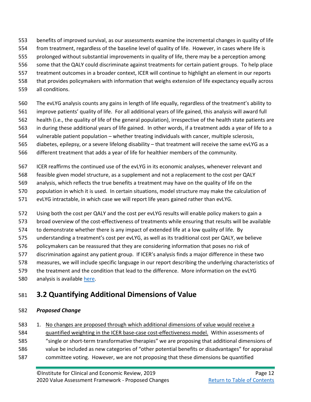- benefits of improved survival, as our assessments examine the incremental changes in quality of life
- from treatment, regardless of the baseline level of quality of life. However, in cases where life is
- prolonged without substantial improvements in quality of life, there may be a perception among
- some that the QALY could discriminate against treatments for certain patient groups. To help place
- treatment outcomes in a broader context, ICER will continue to highlight an element in our reports
- that provides policymakers with information that weighs extension of life expectancy equally across
- all conditions.
- The evLYG analysis counts any gains in length of life equally, regardless of the treatment's ability to
- improve patients' quality of life. For all additional years of life gained, this analysis will award full
- health (i.e., the quality of life of the general population), irrespective of the health state patients are
- in during these additional years of life gained. In other words, if a treatment adds a year of life to a vulnerable patient population – whether treating individuals with cancer, multiple sclerosis,
- diabetes, epilepsy, or a severe lifelong disability that treatment will receive the same evLYG as a
- different treatment that adds a year of life for healthier members of the community.
- ICER reaffirms the continued use of the evLYG in its economic analyses, whenever relevant and
- feasible given model structure, as a supplement and not a replacement to the cost per QALY
- analysis, which reflects the true benefits a treatment may have on the quality of life on the
- population in which it is used. In certain situations, model structure may make the calculation of
- evLYG intractable, in which case we will report life years gained rather than evLYG.
- Using both the cost per QALY and the cost per evLYG results will enable policy makers to gain a
- broad overview of the cost-effectiveness of treatments while ensuring that results will be available
- to demonstrate whether there is any impact of extended life at a low quality of life. By
- understanding a treatment's cost per evLYG, as well as its traditional cost per QALY, we believe
- 576 policymakers can be reassured that they are considering information that poses no risk of
- discrimination against any patient group. If ICER's analysis finds a major difference in these two
- measures, we will include specific language in our report describing the underlying characteristics of
- the treatment and the condition that lead to the difference. More information on the evLYG
- 580 analysis is available [here.](https://icer-review.org/wp-content/uploads/2018/12/QALY_evLYG_FINAL.pdf)

## <span id="page-23-0"></span>**3.2 Quantifying Additional Dimensions of Value**

### *Proposed Change*

 1. No changes are proposed through which additional dimensions of value would receive a quantified weighting in the ICER base-case cost-effectiveness model. Within assessments of "single or short-term transformative therapies" we are proposing that additional dimensions of value be included as new categories of "other potential benefits or disadvantages" for appraisal committee voting. However, we are not proposing that these dimensions be quantified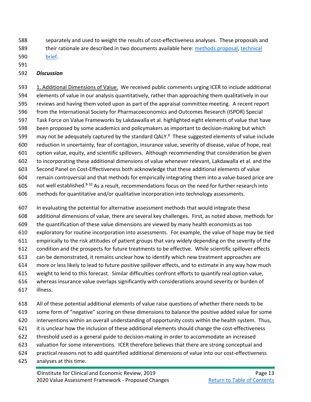separately and used to weight the results of cost-effectiveness analyses. These proposals and

their rationale are described in two documents available here: [methods proposal,](https://icer-review.org/material/valuing-a-cure-draft-adaptations/) [technical](https://icer-review.org/material/valuing-a-cure-technical-brief/) 

[brief.](https://icer-review.org/material/valuing-a-cure-technical-brief/)

#### 

#### *Discussion*

 1. Additional Dimensions of Value. We received public comments urging ICER to include additional elements of value in our analysis quantitatively, rather than approaching them qualitatively in our reviews and having them voted upon as part of the appraisal committee meeting. A recent report from the International Society for Pharmacoeconomics and Outcomes Research (ISPOR) Special Task Force on Value Frameworks by Lakdawalla et al. highlighted eight elements of value that have been proposed by some academics and policymakers as important to decision-making but which may not be adequately captured by the standard QALY.<sup>8</sup> These suggested elements of value include reduction in uncertainty, fear of contagion, insurance value, severity of disease, value of hope, real option value, equity, and scientific spillovers. Although recommending that consideration be given to incorporating these additional dimensions of value whenever relevant, Lakdawalla et al. and the Second Panel on Cost-Effectiveness both acknowledge that these additional elements of value remain controversial and that methods for empirically integrating them into a value-based price are  $\ldots$  not well established.<sup>8-10</sup> As a result, recommendations focus on the need for further research into methods for quantitative and/or qualitative incorporation into technology assessments.

 In evaluating the potential for alternative assessment methods that would integrate these additional dimensions of value, there are several key challenges. First, as noted above, methods for the quantification of these value dimensions are viewed by many health economists as too exploratory for routine incorporation into assessments. For example, the value of hope may be tied empirically to the risk attitudes of patient groups that vary widely depending on the severity of the condition and the prospects for future treatments to be effective. While scientific spillover effects can be demonstrated, it remains unclear how to identify which new treatment approaches are more or less likely to lead to future positive spillover effects, and to estimate in any way how much weight to lend to this forecast. Similar difficulties confront efforts to quantify real option value, whereas insurance value overlaps significantly with considerations around severity or burden of illness.

 All of these potential additional elements of value raise questions of whether there needs to be some form of "negative" scoring on these dimensions to balance the positive added value for some interventions within an overall understanding of opportunity costs within the health system. Thus, it is unclear how the inclusion of these additional elements should change the cost-effectiveness threshold used as a general guide to decision-making in order to accommodate an increased valuation for some interventions. ICER therefore believes that there are strong conceptual and practical reasons not to add quantified additional dimensions of value into our cost-effectiveness analyses at this time.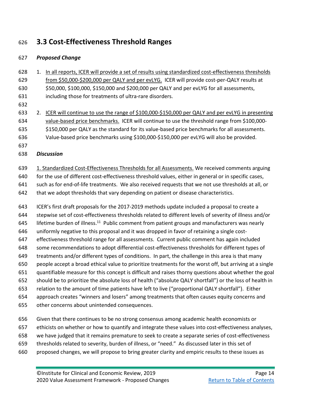## <span id="page-25-0"></span>**3.3 Cost-Effectiveness Threshold Ranges**

### *Proposed Change*

- 1. In all reports, ICER will provide a set of results using standardized cost-effectiveness thresholds from \$50,000-\$200,000 per QALY and per evLYG. ICER will provide cost-per-QALY results at \$50,000, \$100,000, \$150,000 and \$200,000 per QALY and per evLYG for all assessments, including those for treatments of ultra-rare disorders. 2. ICER will continue to use the range of \$100,000-\$150,000 per QALY and per evLYG in presenting
- value-based price benchmarks. ICER will continue to use the threshold range from \$100,000- \$150,000 per QALY as the standard for its value-based price benchmarks for all assessments.
- Value-based price benchmarks using \$100,000-\$150,000 per evLYG will also be provided.
- 
- *Discussion*
- 1. Standardized Cost-Effectiveness Thresholds for all Assessments. We received comments arguing
- for the use of different cost-effectiveness threshold values, either in general or in specific cases,
- such as for end-of-life treatments. We also received requests that we not use thresholds at all, or
- 642 that we adopt thresholds that vary depending on patient or disease characteristics.
- ICER's first draft proposals for the 2017-2019 methods update included a proposal to create a stepwise set of cost-effectiveness thresholds related to different levels of severity of illness and/or lifetime burden of illness.<sup>11</sup> Public comment from patient groups and manufacturers was nearly uniformly negative to this proposal and it was dropped in favor of retaining a single cost- effectiveness threshold range for all assessments. Current public comment has again included some recommendations to adopt differential cost-effectiveness thresholds for different types of treatments and/or different types of conditions. In part, the challenge in this area is that many people accept a broad ethical value to prioritize treatments for the worst off, but arriving at a single quantifiable measure for this concept is difficult and raises thorny questions about whether the goal should be to prioritize the absolute loss of health ("absolute QALY shortfall") or the loss of health in relation to the amount of time patients have left to live ("proportional QALY shortfall"). Either approach creates "winners and losers" among treatments that often causes equity concerns and other concerns about unintended consequences.
- Given that there continues to be no strong consensus among academic health economists or
- ethicists on whether or how to quantify and integrate these values into cost-effectiveness analyses,
- we have judged that it remains premature to seek to create a separate series of cost-effectiveness
- thresholds related to severity, burden of illness, or "need." As discussed later in this set of
- proposed changes, we will propose to bring greater clarity and empiric results to these issues as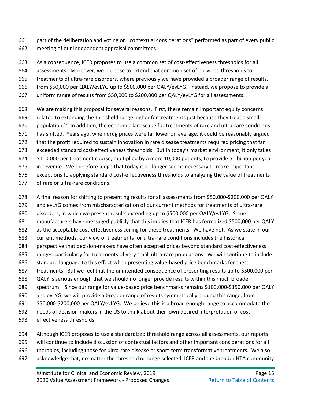part of the deliberation and voting on "contextual considerations" performed as part of every public meeting of our independent appraisal committees.

 As a consequence, ICER proposes to use a common set of cost-effectiveness thresholds for all assessments. Moreover, we propose to extend that common set of provided thresholds to treatments of ultra-rare disorders, where previously we have provided a broader range of results,

from \$50,000 per QALY/evLYG up to \$500,000 per QALY/evLYG. Instead, we propose to provide a

- uniform range of results from \$50,000 to \$200,000 per QALY/evLYG for all assessments.
- We are making this proposal for several reasons. First, there remain important equity concerns related to extending the threshold range higher for treatments just because they treat a small population.<sup>12</sup> In addition, the economic landscape for treatments of rare and ultra-rare conditions has shifted. Years ago, when drug prices were far lower on average, it could be reasonably argued that the profit required to sustain innovation in rare disease treatments required pricing that far exceeded standard cost-effectiveness thresholds. But in today's market environment, it only takes \$100,000 per treatment course, multiplied by a mere 10,000 patients, to provide \$1 billion per year in revenue. We therefore judge that today it no longer seems necessary to make important exceptions to applying standard cost-effectiveness thresholds to analyzing the value of treatments
- of rare or ultra-rare conditions.
- A final reason for shifting to presenting results for all assessments from \$50,000-\$200,000 per QALY
- and evLYG comes from mischaracterization of our current methods for treatments of ultra-rare
- disorders, in which we present results extending up to \$500,000 per QALY/evLYG. Some
- manufacturers have messaged publicly that this implies that ICER has formalized \$500,000 per QALY
- as the acceptable cost-effectiveness ceiling for these treatments. We have not. As we state in our
- current methods, our view of treatments for ultra-rare conditions includes the historical
- perspective that decision-makers have often accepted prices beyond standard cost-effectiveness
- ranges, particularly for treatments of very small ultra-rare populations. We will continue to include
- standard language to this effect when presenting value-based price benchmarks for these
- treatments. But we feel that the unintended consequence of presenting results up to \$500,000 per
- QALY is serious enough that we should no longer provide results within this much broader
- spectrum. Since our range for value-based price benchmarks remains \$100,000-\$150,000 per QALY
- and evLYG, we will provide a broader range of results symmetrically around this range, from
- \$50,000-\$200,000 per QALY/evLYG. We believe this is a broad enough range to accommodate the
- needs of decision-makers in the US to think about their own desired interpretation of cost-
- effectiveness thresholds.
- Although ICER proposes to use a standardized threshold range across all assessments, our reports
- will continue to include discussion of contextual factors and other important considerations for all
- therapies, including those for ultra-rare disease or short-term transformative treatments. We also
- acknowledge that, no matter the threshold or range selected, ICER and the broader HTA community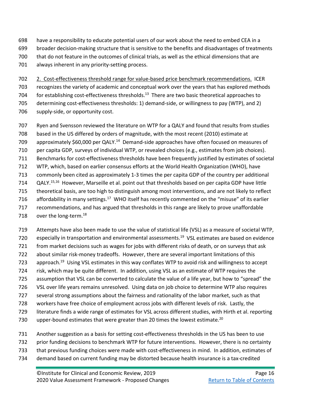- have a responsibility to educate potential users of our work about the need to embed CEA in a
- broader decision-making structure that is sensitive to the benefits and disadvantages of treatments
- that do not feature in the outcomes of clinical trials, as well as the ethical dimensions that are
- always inherent in any priority-setting process.

 2. Cost-effectiveness threshold range for value-based price benchmark recommendations. ICER recognizes the variety of academic and conceptual work over the years that has explored methods for establishing cost-effectiveness thresholds.<sup>13</sup> There are two basic theoretical approaches to determining cost-effectiveness thresholds: 1) demand-side, or willingness to pay (WTP), and 2) 706 supply-side, or opportunity cost.

- Ryen and Svensson reviewed the literature on WTP for a QALY and found that results from studies
- based in the US differed by orders of magnitude, with the most recent (2010) estimate at
- approximately \$60,000 per QALY.<sup>14</sup> Demand-side approaches have often focused on measures of
- per capita GDP, surveys of individual WTP, or revealed choices (e.g., estimates from job choices).
- Benchmarks for cost-effectiveness thresholds have been frequently justified by estimates of societal
- WTP, which, based on earlier consensus efforts at the World Health Organization (WHO), have
- commonly been cited as approximately 1-3 times the per capita GDP of the country per additional
- QALY.<sup>15,16</sup> However, Marseille et al. point out that thresholds based on per capita GDP have little
- theoretical basis, are too high to distinguish among most interventions, and are not likely to reflect
- affordability in many settings.<sup>17</sup> WHO itself has recently commented on the "misuse" of its earlier
- recommendations, and has argued that thresholds in this range are likely to prove unaffordable
- 718over the long-term. $^{18}$
- Attempts have also been made to use the value of statistical life (VSL) as a measure of societal WTP, 720 especially in transportation and environmental assessments.<sup>19</sup> VSL estimates are based on evidence from market decisions such as wages for jobs with different risks of death, or on surveys that ask about similar risk-money tradeoffs. However, there are several important limitations of this approach.<sup>19</sup> Using VSL estimates in this way conflates WTP to avoid risk and willingness to accept risk, which may be quite different. In addition, using VSL as an estimate of WTP requires the assumption that VSL can be converted to calculate the value of a life year, but how to "spread" the VSL over life years remains unresolved. Using data on job choice to determine WTP also requires several strong assumptions about the fairness and rationality of the labor market, such as that workers have free choice of employment across jobs with different levels of risk. Lastly, the literature finds a wide range of estimates for VSL across different studies, with Hirth et al. reporting 730 upper-bound estimates that were greater than 20 times the lowest estimate. $^{20}$
- Another suggestion as a basis for setting cost-effectiveness thresholds in the US has been to use
- prior funding decisions to benchmark WTP for future interventions. However, there is no certainty
- that previous funding choices were made with cost-effectiveness in mind. In addition, estimates of
- demand based on current funding may be distorted because health insurance is a tax-credited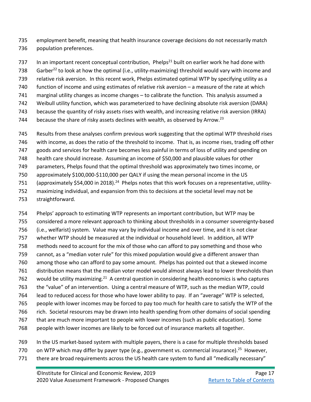employment benefit, meaning that health insurance coverage decisions do not necessarily match population preferences.

737 In an important recent conceptual contribution, Phelps<sup>21</sup> built on earlier work he had done with 738 Garber<sup>22</sup> to look at how the optimal (i.e., utility-maximizing) threshold would vary with income and relative risk aversion. In this recent work, Phelps estimated optimal WTP by specifying utility as a function of income and using estimates of relative risk aversion – a measure of the rate at which marginal utility changes as income changes – to calibrate the function. This analysis assumed a Weibull utility function, which was parameterized to have declining absolute risk aversion (DARA) because the quantity of risky assets rises with wealth, and increasing relative risk aversion (IRRA) 744 because the share of risky assets declines with wealth, as observed by Arrow.<sup>23</sup>

Results from these analyses confirm previous work suggesting that the optimal WTP threshold rises

- with income, as does the ratio of the threshold to income. That is, as income rises, trading off other
- goods and services for health care becomes less painful in terms of loss of utility and spending on
- health care should increase. Assuming an income of \$50,000 and plausible values for other
- parameters, Phelps found that the optimal threshold was approximately two times income, or
- approximately \$100,000-\$110,000 per QALY if using the mean personal income in the US
- 751 (approximately \$54,000 in 2018).<sup>[24](#page-57-10)</sup> Phelps notes that this work focuses on a representative, utility-
- maximizing individual, and expansion from this to decisions at the societal level may not be
- straightforward.

 Phelps' approach to estimating WTP represents an important contribution, but WTP may be considered a more relevant approach to thinking about thresholds in a consumer sovereignty-based (i.e., welfarist) system. Value may vary by individual income and over time, and it is not clear whether WTP should be measured at the individual or household level. In addition, all WTP methods need to account for the mix of those who can afford to pay something and those who cannot, as a "median voter rule" for this mixed population would give a different answer than among those who can afford to pay some amount. Phelps has pointed out that a skewed income distribution means that the median voter model would almost always lead to lower thresholds than would be utility maximizing.<sup>21</sup> A central question in considering health economics is who captures the "value" of an intervention. Using a central measure of WTP, such as the median WTP, could lead to reduced access for those who have lower ability to pay. If an "average" WTP is selected, people with lower incomes may be forced to pay too much for health care to satisfy the WTP of the rich. Societal resources may be drawn into health spending from other domains of social spending that are much more important to people with lower incomes (such as public education). Some people with lower incomes are likely to be forced out of insurance markets all together.

- In the US market-based system with multiple payers, there is a case for multiple thresholds based
- on WTP which may differ by payer type (e.g., government vs. commercial insurance).<sup>25</sup> However,
- 771 there are broad requirements across the US health care system to fund all "medically necessary"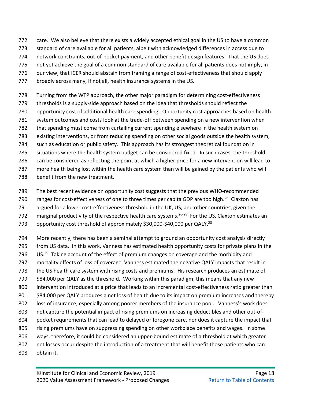- care. We also believe that there exists a widely accepted ethical goal in the US to have a common
- standard of care available for all patients, albeit with acknowledged differences in access due to
- network constraints, out-of-pocket payment, and other benefit design features. That the US does
- not yet achieve the goal of a common standard of care available for all patients does not imply, in
- 776 our view, that ICER should abstain from framing a range of cost-effectiveness that should apply
- broadly across many, if not all, health insurance systems in the US.
- Turning from the WTP approach, the other major paradigm for determining cost-effectiveness
- thresholds is a supply-side approach based on the idea that thresholds should reflect the
- opportunity cost of additional health care spending. Opportunity cost approaches based on health
- system outcomes and costs look at the trade-off between spending on a new intervention when
- that spending must come from curtailing current spending elsewhere in the health system on
- existing interventions, or from reducing spending on other social goods outside the health system,
- such as education or public safety. This approach has its strongest theoretical foundation in
- situations where the health system budget can be considered fixed. In such cases, the threshold
- can be considered as reflecting the point at which a higher price for a new intervention will lead to
- more health being lost within the health care system than will be gained by the patients who will
- benefit from the new treatment.
- The best recent evidence on opportunity cost suggests that the previous WHO-recommended
- ranges for cost-effectiveness of one to three times per capita GDP are too high.<sup>26</sup> Claxton has
- argued for a lower cost-effectiveness threshold in the UK, US, and other countries, given the
- marginal productivity of the respective health care systems.<sup>26-28</sup> For the US, Claxton estimates an
- opportunity cost threshold of approximately \$30,000-\$40,000 per QALY.<sup>28</sup>
- More recently, there has been a seminal attempt to ground an opportunity cost analysis directly from US data. In this work, Vanness has estimated health opportunity costs for private plans in the US.<sup>29</sup> Taking account of the effect of premium changes on coverage and the morbidity and mortality effects of loss of coverage, Vanness estimated the negative QALY impacts that result in the US health care system with rising costs and premiums. His research produces an estimate of \$84,000 per QALY as the threshold. Working within this paradigm, this means that any new 800 intervention introduced at a price that leads to an incremental cost-effectiveness ratio greater than \$84,000 per QALY produces a net loss of health due to its impact on premium increases and thereby loss of insurance, especially among poorer members of the insurance pool. Vanness's work does not capture the potential impact of rising premiums on increasing deductibles and other out-of- pocket requirements that can lead to delayed or foregone care, nor does it capture the impact that rising premiums have on suppressing spending on other workplace benefits and wages. In some ways, therefore, it could be considered an upper-bound estimate of a threshold at which greater net losses occur despite the introduction of a treatment that will benefit those patients who can obtain it.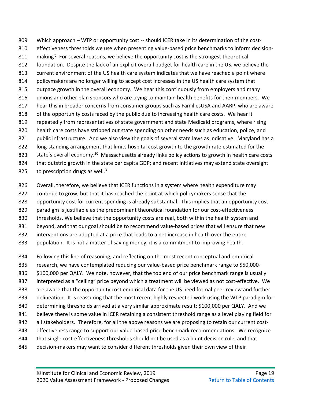Which approach – WTP or opportunity cost -- should ICER take in its determination of the cost- effectiveness thresholds we use when presenting value-based price benchmarks to inform decision- making? For several reasons, we believe the opportunity cost is the strongest theoretical foundation. Despite the lack of an explicit overall budget for health care in the US, we believe the current environment of the US health care system indicates that we have reached a point where 814 policymakers are no longer willing to accept cost increases in the US health care system that outpace growth in the overall economy. We hear this continuously from employers and many unions and other plan sponsors who are trying to maintain health benefits for their members. We hear this in broader concerns from consumer groups such as FamiliesUSA and AARP, who are aware of the opportunity costs faced by the public due to increasing health care costs. We hear it repeatedly from representatives of state government and state Medicaid programs, where rising health care costs have stripped out state spending on other needs such as education, police, and 821 public infrastructure. And we also view the goals of several state laws as indicative. Maryland has a long-standing arrangement that limits hospital cost growth to the growth rate estimated for the state's overall economy.<sup>30</sup> Massachusetts already links policy actions to growth in health care costs that outstrip growth in the state per capita GDP; and recent initiatives may extend state oversight to prescription drugs as well.

- Overall, therefore, we believe that ICER functions in a system where health expenditure may
- continue to grow, but that it has reached the point at which policymakers sense that the
- opportunity cost for current spending is already substantial. This implies that an opportunity cost
- paradigm is justifiable as the predominant theoretical foundation for our cost-effectiveness
- 830 thresholds. We believe that the opportunity costs are real, both within the health system and
- beyond, and that our goal should be to recommend value-based prices that will ensure that new
- 832 interventions are adopted at a price that leads to a net increase in health over the entire
- population. It is not a matter of saving money; it is a commitment to improving health.
- Following this line of reasoning, and reflecting on the most recent conceptual and empirical research, we have contemplated reducing our value-based price benchmark range to \$50,000- \$100,000 per QALY. We note, however, that the top end of our price benchmark range is usually 837 interpreted as a "ceiling" price beyond which a treatment will be viewed as not cost-effective. We are aware that the opportunity cost empirical data for the US need formal peer review and further delineation. It is reassuring that the most recent highly respected work using the WTP paradigm for determining thresholds arrived at a very similar approximate result: \$100,000 per QALY. And we 841 believe there is some value in ICER retaining a consistent threshold range as a level playing field for 842 all stakeholders. Therefore, for all the above reasons we are proposing to retain our current cost- effectiveness range to support our value-based price benchmark recommendations. We recognize that single cost-effectiveness thresholds should not be used as a blunt decision rule, and that decision-makers may want to consider different thresholds given their own view of their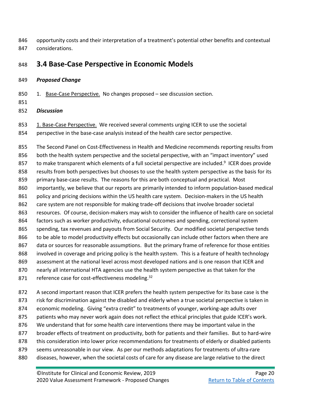opportunity costs and their interpretation of a treatment's potential other benefits and contextual considerations.

## <span id="page-31-0"></span>**3.4 Base-Case Perspective in Economic Models**

#### *Proposed Change*

- 850 1. Base-Case Perspective. No changes proposed see discussion section.
- 

### *Discussion*

- 853 1. Base-Case Perspective. We received several comments urging ICER to use the societal
- perspective in the base-case analysis instead of the health care sector perspective.

 The Second Panel on Cost-Effectiveness in Health and Medicine recommends reporting results from 856 both the health system perspective and the societal perspective, with an "impact inventory" used to make transparent which elements of a full societal perspective are included.<sup>9</sup> ICER does provide results from both perspectives but chooses to use the health system perspective as the basis for its primary base-case results. The reasons for this are both conceptual and practical. Most importantly, we believe that our reports are primarily intended to inform population-based medical 861 policy and pricing decisions within the US health care system. Decision-makers in the US health care system are not responsible for making trade-off decisions that involve broader societal resources. Of course, decision-makers may wish to consider the influence of health care on societal factors such as worker productivity, educational outcomes and spending, correctional system spending, tax revenues and payouts from Social Security. Our modified societal perspective tends to be able to model productivity effects but occasionally can include other factors when there are 867 data or sources for reasonable assumptions. But the primary frame of reference for those entities involved in coverage and pricing policy is the health system. This is a feature of health technology assessment at the national level across most developed nations and is one reason that ICER and nearly all international HTA agencies use the health system perspective as that taken for the reference case for cost-effectiveness modeling.

 A second important reason that ICER prefers the health system perspective for its base case is the 873 risk for discrimination against the disabled and elderly when a true societal perspective is taken in economic modeling. Giving "extra credit" to treatments of younger, working-age adults over 875 patients who may never work again does not reflect the ethical principles that guide ICER's work. We understand that for some health care interventions there may be important value in the broader effects of treatment on productivity, both for patients and their families. But to hard-wire this consideration into lower price recommendations for treatments of elderly or disabled patients seems unreasonable in our view. As per our methods adaptations for treatments of ultra-rare diseases, however, when the societal costs of care for any disease are large relative to the direct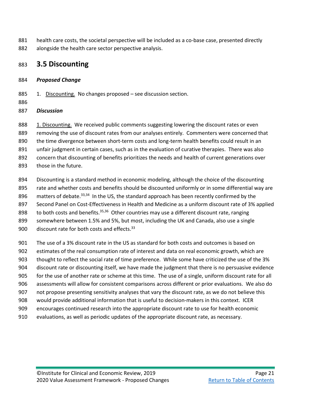- health care costs, the societal perspective will be included as a co-base case, presented directly
- alongside the health care sector perspective analysis.

## <span id="page-32-0"></span>**3.5 Discounting**

## *Proposed Change*

- 885 1. Discounting. No changes proposed see discussion section.
- 

## *Discussion*

- 888 1. Discounting. We received public comments suggesting lowering the discount rates or even
- removing the use of discount rates from our analyses entirely. Commenters were concerned that
- 890 the time divergence between short-term costs and long-term health benefits could result in an
- unfair judgment in certain cases, such as in the evaluation of curative therapies. There was also
- concern that discounting of benefits prioritizes the needs and health of current generations over
- those in the future.
- 894 Discounting is a standard method in economic modeling, although the choice of the discounting
- rate and whether costs and benefits should be discounted uniformly or in some differential way are
- matters of debate.<sup>33,34</sup> In the US, the standard approach has been recently confirmed by the
- Second Panel on Cost-Effectiveness in Health and Medicine as a uniform discount rate of 3% applied
- to both costs and benefits.<sup>35,36</sup> Other countries may use a different discount rate, ranging
- somewhere between 1.5% and 5%, but most, including the UK and Canada, also use a single
- 900discount rate for both costs and effects.
- The use of a 3% discount rate in the US as standard for both costs and outcomes is based on
- estimates of the real consumption rate of interest and data on real economic growth, which are
- 903 thought to reflect the social rate of time preference. While some have criticized the use of the 3%
- discount rate or discounting itself, we have made the judgment that there is no persuasive evidence
- for the use of another rate or scheme at this time. The use of a single, uniform discount rate for all
- assessments will allow for consistent comparisons across different or prior evaluations. We also do
- not propose presenting sensitivity analyses that vary the discount rate, as we do not believe this
- would provide additional information that is useful to decision-makers in this context. ICER
- encourages continued research into the appropriate discount rate to use for health economic
- evaluations, as well as periodic updates of the appropriate discount rate, as necessary.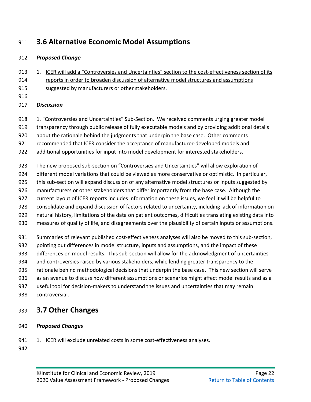## <span id="page-33-0"></span>**3.6 Alternative Economic Model Assumptions**

### *Proposed Change*

- 913 1. ICER will add a "Controversies and Uncertainties" section to the cost-effectiveness section of its reports in order to broaden discussion of alternative model structures and assumptions
- suggested by manufacturers or other stakeholders.
- 

## *Discussion*

918 1. "Controversies and Uncertainties" Sub-Section. We received comments urging greater model transparency through public release of fully executable models and by providing additional details

about the rationale behind the judgments that underpin the base case. Other comments

recommended that ICER consider the acceptance of manufacturer-developed models and

additional opportunities for input into model development for interested stakeholders.

The new proposed sub-section on "Controversies and Uncertainties" will allow exploration of

different model variations that could be viewed as more conservative or optimistic. In particular,

- this sub-section will expand discussion of any alternative model structures or inputs suggested by
- manufacturers or other stakeholders that differ importantly from the base case. Although the
- current layout of ICER reports includes information on these issues, we feel it will be helpful to
- consolidate and expand discussion of factors related to uncertainty, including lack of information on
- natural history, limitations of the data on patient outcomes, difficulties translating existing data into
- measures of quality of life, and disagreements over the plausibility of certain inputs or assumptions.
- Summaries of relevant published cost-effectiveness analyses will also be moved to this sub-section,
- pointing out differences in model structure, inputs and assumptions, and the impact of these
- differences on model results. This sub-section will allow for the acknowledgment of uncertainties
- and controversies raised by various stakeholders, while lending greater transparency to the
- rationale behind methodological decisions that underpin the base case. This new section will serve
- as an avenue to discuss how different assumptions or scenarios might affect model results and as a
- useful tool for decision-makers to understand the issues and uncertainties that may remain
- controversial.

## <span id="page-33-1"></span>**3.7 Other Changes**

- *Proposed Changes*
- 941 1. ICER will exclude unrelated costs in some cost-effectiveness analyses.
-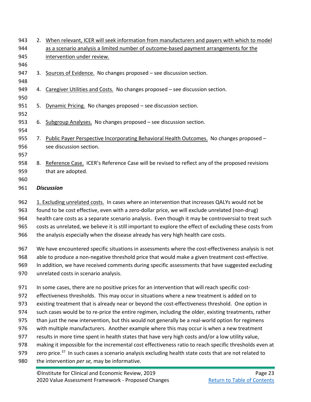| 943<br>944<br>945<br>946 |                                                                                                                                           | 2. When relevant, ICER will seek information from manufacturers and payers with which to model<br>as a scenario analysis a limited number of outcome-based payment arrangements for the<br>intervention under review. |  |  |
|--------------------------|-------------------------------------------------------------------------------------------------------------------------------------------|-----------------------------------------------------------------------------------------------------------------------------------------------------------------------------------------------------------------------|--|--|
| 947<br>948               | 3.                                                                                                                                        | Sources of Evidence. No changes proposed - see discussion section.                                                                                                                                                    |  |  |
| 949<br>950               | 4.                                                                                                                                        | Caregiver Utilities and Costs. No changes proposed - see discussion section.                                                                                                                                          |  |  |
| 951<br>952               | 5.                                                                                                                                        | Dynamic Pricing. No changes proposed - see discussion section.                                                                                                                                                        |  |  |
| 953<br>954               | 6.                                                                                                                                        | Subgroup Analyses. No changes proposed - see discussion section.                                                                                                                                                      |  |  |
| 955<br>956<br>957        |                                                                                                                                           | 7. Public Payer Perspective Incorporating Behavioral Health Outcomes. No changes proposed -<br>see discussion section.                                                                                                |  |  |
| 958<br>959<br>960        |                                                                                                                                           | 8. Reference Case. ICER's Reference Case will be revised to reflect any of the proposed revisions<br>that are adopted.                                                                                                |  |  |
| 961                      |                                                                                                                                           | <b>Discussion</b>                                                                                                                                                                                                     |  |  |
| 962                      |                                                                                                                                           | 1. Excluding unrelated costs. In cases where an intervention that increases QALYs would not be                                                                                                                        |  |  |
| 963                      |                                                                                                                                           | found to be cost effective, even with a zero-dollar price, we will exclude unrelated (non-drug)                                                                                                                       |  |  |
| 964<br>965               |                                                                                                                                           | health care costs as a separate scenario analysis. Even though it may be controversial to treat such<br>costs as unrelated, we believe it is still important to explore the effect of excluding these costs from      |  |  |
| 966                      | the analysis especially when the disease already has very high health care costs.                                                         |                                                                                                                                                                                                                       |  |  |
| 967                      | We have encountered specific situations in assessments where the cost-effectiveness analysis is not                                       |                                                                                                                                                                                                                       |  |  |
| 968                      | able to produce a non-negative threshold price that would make a given treatment cost-effective.                                          |                                                                                                                                                                                                                       |  |  |
| 969<br>970               | In addition, we have received comments during specific assessments that have suggested excluding<br>unrelated costs in scenario analysis. |                                                                                                                                                                                                                       |  |  |
| 971                      |                                                                                                                                           | In some cases, there are no positive prices for an intervention that will reach specific cost-                                                                                                                        |  |  |
| 972                      |                                                                                                                                           | effectiveness thresholds. This may occur in situations where a new treatment is added on to                                                                                                                           |  |  |
| 973                      |                                                                                                                                           | existing treatment that is already near or beyond the cost-effectiveness threshold. One option in                                                                                                                     |  |  |
| 974                      | such cases would be to re-price the entire regimen, including the older, existing treatments, rather                                      |                                                                                                                                                                                                                       |  |  |
| 975<br>976               |                                                                                                                                           | than just the new intervention, but this would not generally be a real-world option for regimens<br>with multiple manufacturers. Another example where this may occur is when a new treatment                         |  |  |
| 977                      |                                                                                                                                           | results in more time spent in health states that have very high costs and/or a low utility value,                                                                                                                     |  |  |
| 978                      |                                                                                                                                           | making it impossible for the incremental cost effectiveness ratio to reach specific thresholds even at                                                                                                                |  |  |
| 979                      |                                                                                                                                           | zero price. <sup>37</sup> In such cases a scenario analysis excluding health state costs that are not related to                                                                                                      |  |  |
| 980                      |                                                                                                                                           | the intervention per se, may be informative.                                                                                                                                                                          |  |  |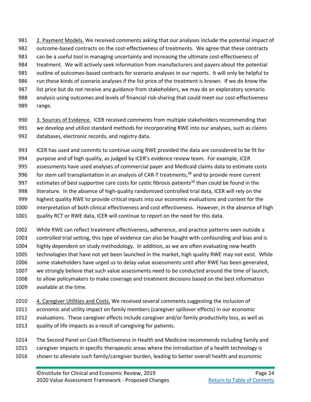981 2. Payment Models. We received comments asking that our analyses include the potential impact of outcome-based contracts on the cost-effectiveness of treatments. We agree that these contracts can be a useful tool in managing uncertainty and increasing the ultimate cost-effectiveness of treatment. We will actively seek information from manufacturers and payers about the potential outline of outcomes-based contracts for scenario analyses in our reports. It will only be helpful to run these kinds of scenario analyses if the list price of the treatment is known. If we do know the 987 list price but do not receive any guidance from stakeholders, we may do an exploratory scenario analysis using outcomes and levels of financial risk-sharing that could meet our cost-effectiveness range.

990 3. Sources of Evidence. ICER received comments from multiple stakeholders recommending that we develop and utilize standard methods for incorporating RWE into our analyses, such as claims databases, electronic records, and registry data.

ICER has used and commits to continue using RWE provided the data are considered to be fit for

purpose and of high quality, as judged by ICER's evidence review team. For example, ICER

assessments have used analyses of commercial payer and Medicaid claims data to estimate costs

996 for stem cell transplantation in an analysis of CAR-T treatments, and to provide more current

- 997 estimates of best supportive care costs for cystic fibrosis patients<sup>39</sup> than could be found in the
- literature. In the absence of high-quality randomized controlled trial data, ICER will rely on the
- highest quality RWE to provide critical inputs into our economic evaluations and context for the
- interpretation of both clinical effectiveness and cost effectiveness. However, in the absence of high
- quality RCT or RWE data, ICER will continue to report on the need for this data.
- While RWE can reflect treatment effectiveness, adherence, and practice patterns seen outside a controlled trial setting, this type of evidence can also be fraught with confounding and bias and is highly dependent on study methodology. In addition, as we are often evaluating new health technologies that have not yet been launched in the market, high quality RWE may not exist. While 1006 some stakeholders have urged us to delay value assessments until after RWE has been generated, we strongly believe that such value assessments need to be conducted around the time of launch, to allow policymakers to make coverage and treatment decisions based on the best information available at the time.
- 4. Caregiver Utilities and Costs. We received several comments suggesting the inclusion of
- economic and utility impact on family members (caregiver spillover effects) in our economic
- evaluations. These caregiver effects include caregiver and/or family productivity loss, as well as
- quality of life impacts as a result of caregiving for patients.
- The Second Panel on Cost-Effectiveness in Health and Medicine recommends including family and
- caregiver impacts in specific therapeutic areas where the introduction of a health technology is
- shown to alleviate such family/caregiver burden, leading to better overall health and economic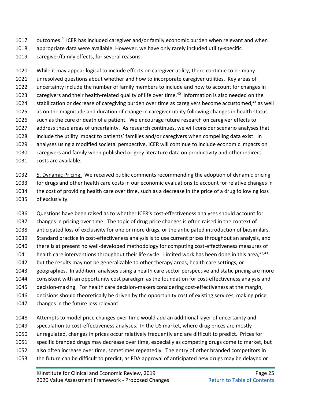- outcomes.<sup>9</sup> ICER has included caregiver and/or family economic burden when relevant and when
- appropriate data were available. However, we have only rarely included utility-specific
- caregiver/family effects, for several reasons.

 While it may appear logical to include effects on caregiver utility, there continue to be many unresolved questions about whether and how to incorporate caregiver utilities. Key areas of uncertainty include the number of family members to include and how to account for changes in 1023 caregivers and their health-related quality of life over time.<sup>[40](#page-58-8)</sup> Information is also needed on the 1024 stabilization or decrease of caregiving burden over time as caregivers become accustomed,<sup>[41](#page-58-9)</sup> as well as on the magnitude and duration of change in caregiver utility following changes in health status 1026 such as the cure or death of a patient. We encourage future research on caregiver effects to address these areas of uncertainty. As research continues, we will consider scenario analyses that include the utility impact to patients' families and/or caregivers when compelling data exist. In analyses using a modified societal perspective, ICER will continue to include economic impacts on caregivers and family when published or grey literature data on productivity and other indirect costs are available.

 5. Dynamic Pricing. We received public comments recommending the adoption of dynamic pricing for drugs and other health care costs in our economic evaluations to account for relative changes in the cost of providing health care over time, such as a decrease in the price of a drug following loss of exclusivity.

 Questions have been raised as to whether ICER's cost-effectiveness analyses should account for changes in pricing over time. The topic of drug price changes is often raised in the context of anticipated loss of exclusivity for one or more drugs, or the anticipated introduction of biosimilars. Standard practice in cost-effectiveness analysis is to use current prices throughout an analysis, and there is at present no well-developed methodology for computing cost-effectiveness measures of 1041 health care interventions throughout their life cycle. Limited work has been done in this area,  $42,43$  $42,43$ 1042 but the results may not be generalizable to other therapy areas, health care settings, or geographies. In addition, analyses using a health care sector perspective and static pricing are more consistent with an opportunity cost paradigm as the foundation for cost-effectiveness analysis and decision-making. For health care decision-makers considering cost-effectiveness at the margin, decisions should theoretically be driven by the opportunity cost of existing services, making price changes in the future less relevant.

- Attempts to model price changes over time would add an additional layer of uncertainty and
- speculation to cost-effectiveness analyses. In the US market, where drug prices are mostly
- unregulated, changes in prices occur relatively frequently and are difficult to predict. Prices for
- specific branded drugs may decrease over time, especially as competing drugs come to market, but
- also often increase over time, sometimes repeatedly. The entry of other branded competitors in
- the future can be difficult to predict, as FDA approval of anticipated new drugs may be delayed or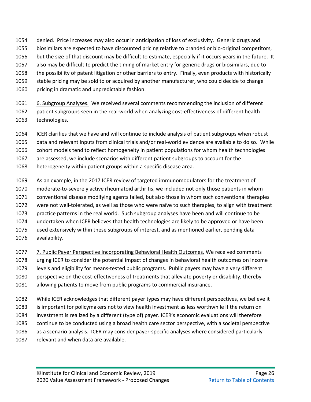- denied. Price increases may also occur in anticipation of loss of exclusivity. Generic drugs and
- biosimilars are expected to have discounted pricing relative to branded or bio-original competitors,
- but the size of that discount may be difficult to estimate, especially if it occurs years in the future. It
- also may be difficult to predict the timing of market entry for generic drugs or biosimilars, due to
- the possibility of patent litigation or other barriers to entry. Finally, even products with historically
- stable pricing may be sold to or acquired by another manufacturer, who could decide to change pricing in dramatic and unpredictable fashion.
- 6. Subgroup Analyses. We received several comments recommending the inclusion of different patient subgroups seen in the real-world when analyzing cost-effectiveness of different health technologies.
- ICER clarifies that we have and will continue to include analysis of patient subgroups when robust
- data and relevant inputs from clinical trials and/or real-world evidence are available to do so. While
- cohort models tend to reflect homogeneity in patient populations for whom health technologies
- are assessed, we include scenarios with different patient subgroups to account for the
- heterogeneity within patient groups within a specific disease area.
- As an example, in the 2017 ICER review of targeted immunomodulators for the treatment of moderate-to-severely active rheumatoid arthritis, we included not only those patients in whom conventional disease modifying agents failed, but also those in whom such conventional therapies were not well-tolerated, as well as those who were naïve to such therapies, to align with treatment practice patterns in the real world. Such subgroup analyses have been and will continue to be undertaken when ICER believes that health technologies are likely to be approved or have been used extensively within these subgroups of interest, and as mentioned earlier, pending data
- availability.
- 7. Public Payer Perspective Incorporating Behavioral Health Outcomes. We received comments urging ICER to consider the potential impact of changes in behavioral health outcomes on income levels and eligibility for means-tested public programs. Public payers may have a very different
- perspective on the cost-effectiveness of treatments that alleviate poverty or disability, thereby allowing patients to move from public programs to commercial insurance.
- While ICER acknowledges that different payer types may have different perspectives, we believe it is important for policymakers not to view health investment as less worthwhile if the return on investment is realized by a different (type of) payer. ICER's economic evaluations will therefore continue to be conducted using a broad health care sector perspective, with a societal perspective as a scenario analysis. ICER may consider payer-specific analyses where considered particularly relevant and when data are available.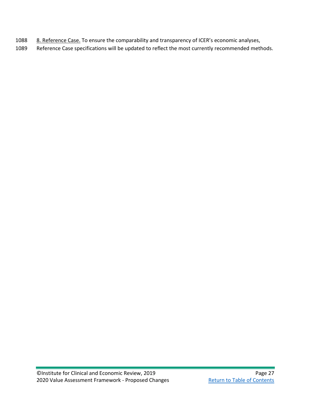- 1088 8. Reference Case. To ensure the comparability and transparency of ICER's economic analyses,
- 1089 Reference Case specifications will be updated to reflect the most currently recommended methods.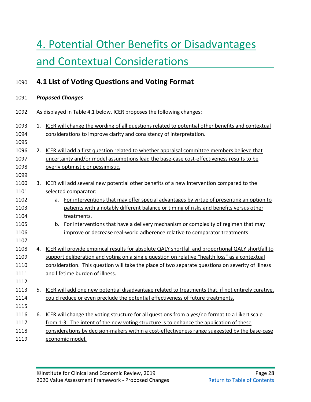# <span id="page-39-0"></span>4. Potential Other Benefits or Disadvantages and Contextual Considerations

## <span id="page-39-1"></span>**4.1 List of Voting Questions and Voting Format**

## *Proposed Changes* As displayed in Table 4.1 below, ICER proposes the following changes: 1. ICER will change the wording of all questions related to potential other benefits and contextual considerations to improve clarity and consistency of interpretation. 2. ICER will add a first question related to whether appraisal committee members believe that uncertainty and/or model assumptions lead the base-case cost-effectiveness results to be overly optimistic or pessimistic. 3. ICER will add several new potential other benefits of a new intervention compared to the selected comparator: a. For interventions that may offer special advantages by virtue of presenting an option to patients with a notably different balance or timing of risks and benefits versus other treatments. 1105 b. For interventions that have a delivery mechanism or complexity of regimen that may improve or decrease real-world adherence relative to comparator treatments 4. ICER will provide empirical results for absolute QALY shortfall and proportional QALY shortfall to 1109 support deliberation and voting on a single question on relative "health loss" as a contextual consideration. This question will take the place of two separate questions on severity of illness and lifetime burden of illness. 5. ICER will add one new potential disadvantage related to treatments that, if not entirely curative, could reduce or even preclude the potential effectiveness of future treatments. 6. ICER will change the voting structure for all questions from a yes/no format to a Likert scale 1117 from 1-3. The intent of the new voting structure is to enhance the application of these considerations by decision-makers within a cost-effectiveness range suggested by the base-case economic model.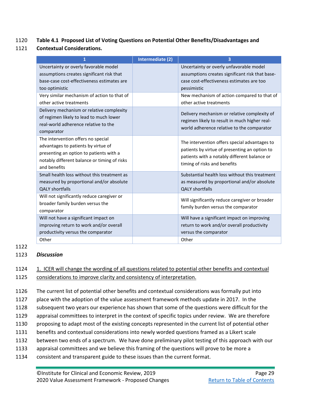### 1120 **Table 4.1 Proposed List of Voting Questions on Potential Other Benefits/Disadvantages and**

1121 **Contextual Considerations.**

| 1                                                                                                                                                                                    | Intermediate (2) | 3                                                                                                                                                                              |
|--------------------------------------------------------------------------------------------------------------------------------------------------------------------------------------|------------------|--------------------------------------------------------------------------------------------------------------------------------------------------------------------------------|
| Uncertainty or overly favorable model<br>assumptions creates significant risk that<br>base-case cost-effectiveness estimates are<br>too optimistic                                   |                  | Uncertainty or overly unfavorable model<br>assumptions creates significant risk that base-<br>case cost-effectiveness estimates are too<br>pessimistic                         |
| Very similar mechanism of action to that of<br>other active treatments                                                                                                               |                  | New mechanism of action compared to that of<br>other active treatments                                                                                                         |
| Delivery mechanism or relative complexity<br>of regimen likely to lead to much lower<br>real-world adherence relative to the<br>comparator                                           |                  | Delivery mechanism or relative complexity of<br>regimen likely to result in much higher real-<br>world adherence relative to the comparator                                    |
| The intervention offers no special<br>advantages to patients by virtue of<br>presenting an option to patients with a<br>notably different balance or timing of risks<br>and benefits |                  | The intervention offers special advantages to<br>patients by virtue of presenting an option to<br>patients with a notably different balance or<br>timing of risks and benefits |
| Small health loss without this treatment as<br>measured by proportional and/or absolute<br><b>QALY shortfalls</b>                                                                    |                  | Substantial health loss without this treatment<br>as measured by proportional and/or absolute<br><b>QALY shortfalls</b>                                                        |
| Will not significantly reduce caregiver or<br>broader family burden versus the<br>comparator                                                                                         |                  | Will significantly reduce caregiver or broader<br>family burden versus the comparator                                                                                          |
| Will not have a significant impact on<br>improving return to work and/or overall<br>productivity versus the comparator<br>Other                                                      |                  | Will have a significant impact on improving<br>return to work and/or overall productivity<br>versus the comparator<br>Other                                                    |
|                                                                                                                                                                                      |                  |                                                                                                                                                                                |

#### 1122

### 1123 *Discussion*

### 1124 1. ICER will change the wording of all questions related to potential other benefits and contextual 1125 considerations to improve clarity and consistency of interpretation.

1126 The current list of potential other benefits and contextual considerations was formally put into

- 1127 place with the adoption of the value assessment framework methods update in 2017. In the
- 1128 subsequent two years our experience has shown that some of the questions were difficult for the
- 1129 appraisal committees to interpret in the context of specific topics under review. We are therefore
- 1130 proposing to adapt most of the existing concepts represented in the current list of potential other
- 1131 benefits and contextual considerations into newly worded questions framed as a Likert scale
- 1132 between two ends of a spectrum. We have done preliminary pilot testing of this approach with our
- 1133 appraisal committees and we believe this framing of the questions will prove to be more a
- 1134 consistent and transparent guide to these issues than the current format.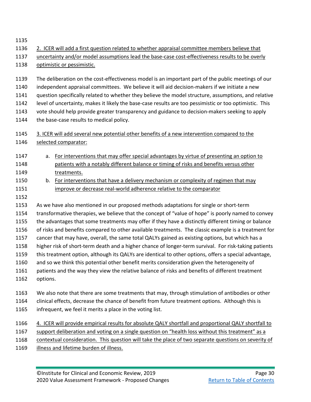- 2. ICER will add a first question related to whether appraisal committee members believe that
- uncertainty and/or model assumptions lead the base-case cost-effectiveness results to be overly optimistic or pessimistic.
- The deliberation on the cost-effectiveness model is an important part of the public meetings of our independent appraisal committees. We believe it will aid decision-makers if we initiate a new question specifically related to whether they believe the model structure, assumptions, and relative level of uncertainty, makes it likely the base-case results are too pessimistic or too optimistic. This vote should help provide greater transparency and guidance to decision-makers seeking to apply 1144 the base-case results to medical policy.
- 3. ICER will add several new potential other benefits of a new intervention compared to the selected comparator:
- 1147 a. For interventions that may offer special advantages by virtue of presenting an option to patients with a notably different balance or timing of risks and benefits versus other 1149 treatments.
- b. For interventions that have a delivery mechanism or complexity of regimen that may 1151 improve or decrease real-world adherence relative to the comparator
- 

 As we have also mentioned in our proposed methods adaptations for single or short-term transformative therapies, we believe that the concept of "value of hope" is poorly named to convey

- the advantages that some treatments may offer if they have a distinctly different timing or balance of risks and benefits compared to other available treatments. The classic example is a treatment for
- cancer that may have, overall, the same total QALYs gained as existing options, but which has a
- higher risk of short-term death and a higher chance of longer-term survival. For risk-taking patients
- this treatment option, although its QALYs are identical to other options, offers a special advantage,
- and so we think this potential other benefit merits consideration given the heterogeneity of
- patients and the way they view the relative balance of risks and benefits of different treatment
- options.
- We also note that there are some treatments that may, through stimulation of antibodies or other
- clinical effects, decrease the chance of benefit from future treatment options. Although this is
- infrequent, we feel it merits a place in the voting list.
- 1166 4. ICER will provide empirical results for absolute QALY shortfall and proportional QALY shortfall to 1167 support deliberation and voting on a single question on "health loss without this treatment" as a
- contextual consideration. This question will take the place of two separate questions on severity of
- illness and lifetime burden of illness.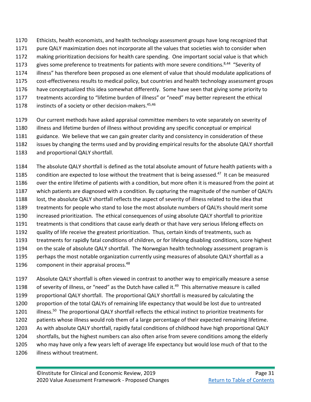- Ethicists, health economists, and health technology assessment groups have long recognized that
- pure QALY maximization does not incorporate all the values that societies wish to consider when
- making prioritization decisions for health care spending. One important social value is that which
- gives some preference to treatments for patients with more severe conditions.<sup>8,44</sup> "Severity of
- illness" has therefore been proposed as one element of value that should modulate applications of
- cost-effectiveness results to medical policy, but countries and health technology assessment groups
- have conceptualized this idea somewhat differently. Some have seen that giving some priority to
- treatments according to "lifetime burden of illness" or "need" may better represent the ethical
- instincts of a society or other decision-makers.<sup>45,46</sup>
- Our current methods have asked appraisal committee members to vote separately on severity of
- illness and lifetime burden of illness without providing any specific conceptual or empirical
- guidance. We believe that we can gain greater clarity and consistency in consideration of these
- issues by changing the terms used and by providing empirical results for the absolute QALY shortfall
- and proportional QALY shortfall.
- The absolute QALY shortfall is defined as the total absolute amount of future health patients with a condition are expected to lose without the treatment that is being assessed.<sup>47</sup> It can be measured over the entire lifetime of patients with a condition, but more often it is measured from the point at which patients are diagnosed with a condition. By capturing the magnitude of the number of QALYs lost, the absolute QALY shortfall reflects the aspect of severity of illness related to the idea that treatments for people who stand to lose the most absolute numbers of QALYs should merit some increased prioritization. The ethical consequences of using absolute QALY shortfall to prioritize treatments is that conditions that cause early death or that have very serious lifelong effects on quality of life receive the greatest prioritization. Thus, certain kinds of treatments, such as treatments for rapidly fatal conditions of children, or for lifelong disabling conditions, score highest on the scale of absolute QALY shortfall. The Norwegian health technology assessment program is perhaps the most notable organization currently using measures of absolute QALY shortfall as a 1196 component in their appraisal process.<sup>[48](#page-58-16)</sup>
- Absolute QALY shortfall is often viewed in contrast to another way to empirically measure a sense of severity of illness, or "need" as the Dutch have called it.<sup>49</sup> This alternative measure is called proportional QALY shortfall. The proportional QALY shortfall is measured by calculating the proportion of the total QALYs of remaining life expectancy that would be lost due to untreated illness.<sup>50</sup> The proportional QALY shortfall reflects the ethical instinct to prioritize treatments for patients whose illness would rob them of a large percentage of their expected remaining lifetime. As with absolute QALY shortfall, rapidly fatal conditions of childhood have high proportional QALY shortfalls, but the highest numbers can also often arise from severe conditions among the elderly who may have only a few years left of average life expectancy but would lose much of that to the illness without treatment.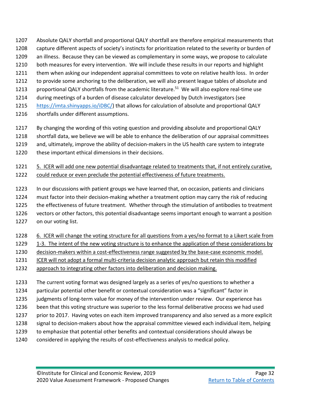- Absolute QALY shortfall and proportional QALY shortfall are therefore empirical measurements that
- capture different aspects of society's instincts for prioritization related to the severity or burden of
- an illness. Because they can be viewed as complementary in some ways, we propose to calculate
- both measures for every intervention. We will include these results in our reports and highlight
- them when asking our independent appraisal committees to vote on relative health loss. In order
- to provide some anchoring to the deliberation, we will also present league tables of absolute and
- proportional QALY shortfalls from the academic literature.<sup>51</sup> We will also explore real-time use
- during meetings of a burden of disease calculator developed by Dutch investigators (see
- [https://imta.shinyapps.io/iDBC/\)](https://imta.shinyapps.io/iDBC/) that allows for calculation of absolute and proportional QALY
- shortfalls under different assumptions.
- By changing the wording of this voting question and providing absolute and proportional QALY
- shortfall data, we believe we will be able to enhance the deliberation of our appraisal committees
- and, ultimately, improve the ability of decision-makers in the US health care system to integrate
- these important ethical dimensions in their decisions.

## 5. ICER will add one new potential disadvantage related to treatments that, if not entirely curative, could reduce or even preclude the potential effectiveness of future treatments.

- In our discussions with patient groups we have learned that, on occasion, patients and clinicians
- must factor into their decision-making whether a treatment option may carry the risk of reducing
- the effectiveness of future treatment. Whether through the stimulation of antibodies to treatment
- vectors or other factors, this potential disadvantage seems important enough to warrant a position
- on our voting list.
- 6. ICER will change the voting structure for all questions from a yes/no format to a Likert scale from
- 1229 1-3. The intent of the new voting structure is to enhance the application of these considerations by
- decision-makers within a cost-effectiveness range suggested by the base-case economic model.
- ICER will not adopt a formal multi-criteria decision analytic approach but retain this modified
- approach to integrating other factors into deliberation and decision making.
- The current voting format was designed largely as a series of yes/no questions to whether a
- particular potential other benefit or contextual consideration was a "significant" factor in
- 1235 judgments of long-term value for money of the intervention under review. Our experience has
- been that this voting structure was superior to the less formal deliberative process we had used
- 1237 prior to 2017. Having votes on each item improved transparency and also served as a more explicit
- 1238 signal to decision-makers about how the appraisal committee viewed each individual item, helping
- to emphasize that potential other benefits and contextual considerations should always be
- considered in applying the results of cost-effectiveness analysis to medical policy.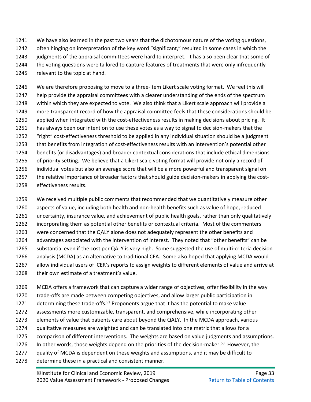- We have also learned in the past two years that the dichotomous nature of the voting questions, often hinging on interpretation of the key word "significant," resulted in some cases in which the 1243 judgments of the appraisal committees were hard to interpret. It has also been clear that some of the voting questions were tailored to capture features of treatments that were only infrequently relevant to the topic at hand.
- We are therefore proposing to move to a three-item Likert scale voting format. We feel this will help provide the appraisal committees with a clearer understanding of the ends of the spectrum within which they are expected to vote. We also think that a Likert scale approach will provide a more transparent record of how the appraisal committee feels that these considerations should be applied when integrated with the cost-effectiveness results in making decisions about pricing. It has always been our intention to use these votes as a way to signal to decision-makers that the "right" cost-effectiveness threshold to be applied in any individual situation should be a judgment that benefits from integration of cost-effectiveness results with an intervention's potential other benefits (or disadvantages) and broader contextual considerations that include ethical dimensions of priority setting. We believe that a Likert scale voting format will provide not only a record of individual votes but also an average score that will be a more powerful and transparent signal on the relative importance of broader factors that should guide decision-makers in applying the cost-effectiveness results.
- We received multiple public comments that recommended that we quantitatively measure other aspects of value, including both health and non-health benefits such as value of hope, reduced uncertainty, insurance value, and achievement of public health goals, rather than only qualitatively incorporating them as potential other benefits or contextual criteria. Most of the commenters were concerned that the QALY alone does not adequately represent the other benefits and advantages associated with the intervention of interest. They noted that "other benefits" can be substantial even if the cost per QALY is very high. Some suggested the use of multi-criteria decision analysis (MCDA) as an alternative to traditional CEA. Some also hoped that applying MCDA would allow individual users of ICER's reports to assign weights to different elements of value and arrive at their own estimate of a treatment's value.
- MCDA offers a framework that can capture a wider range of objectives, offer flexibility in the way trade-offs are made between competing objectives, and allow larger public participation in 1271 determining these trade-offs.<sup>52</sup> Proponents argue that it has the potential to make value assessments more customizable, transparent, and comprehensive, while incorporating other elements of value that patients care about beyond the QALY. In the MCDA approach, various qualitative measures are weighted and can be translated into one metric that allows for a comparison of different interventions. The weights are based on value judgments and assumptions. In other words, those weights depend on the priorities of the decision-maker.<sup>53</sup> However, the quality of MCDA is dependent on these weights and assumptions, and it may be difficult to
- determine these in a practical and consistent manner.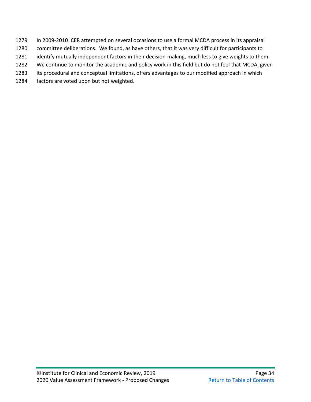- In 2009-2010 ICER attempted on several occasions to use a formal MCDA process in its appraisal
- committee deliberations. We found, as have others, that it was very difficult for participants to
- identify mutually independent factors in their decision-making, much less to give weights to them.
- We continue to monitor the academic and policy work in this field but do not feel that MCDA, given
- its procedural and conceptual limitations, offers advantages to our modified approach in which
- factors are voted upon but not weighted.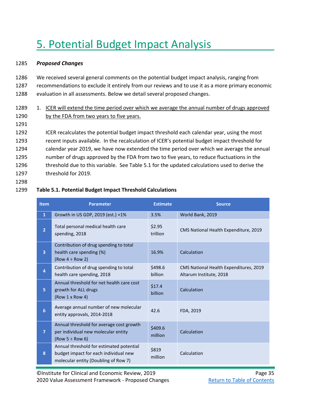# <span id="page-46-0"></span>5. Potential Budget Impact Analysis

#### 1285 *Proposed Changes*

1286 We received several general comments on the potential budget impact analysis, ranging from 1287 recommendations to exclude it entirely from our reviews and to use it as a more primary economic 1288 evaluation in all assessments. Below we detail several proposed changes.

## 1289 1. ICER will extend the time period over which we average the annual number of drugs approved 1290 by the FDA from two years to five years.

1291

1292 ICER recalculates the potential budget impact threshold each calendar year, using the most recent inputs available. In the recalculation of ICER's potential budget impact threshold for calendar year 2019, we have now extended the time period over which we average the annual number of drugs approved by the FDA from two to five years, to reduce fluctuations in the 1296 threshold due to this variable. See Table 5.1 for the updated calculations used to derive the threshold for 2019.

1298

### 1299 **Table 5.1. Potential Budget Impact Threshold Calculations**

| <b>Item</b>    | <b>Parameter</b>                                                                                                          | <b>Estimate</b>    | <b>Source</b>                                                     |
|----------------|---------------------------------------------------------------------------------------------------------------------------|--------------------|-------------------------------------------------------------------|
| $\mathbf{1}$   | Growth in US GDP, 2019 (est.) +1%                                                                                         | 3.5%               | World Bank, 2019                                                  |
| $\overline{2}$ | Total personal medical health care<br>spending, 2018                                                                      | \$2.95<br>trillion | CMS National Health Expenditure, 2019                             |
| 3              | Contribution of drug spending to total<br>health care spending (%)<br>(Row $4 \div$ Row 2)                                | 16.9%              | Calculation                                                       |
| 4              | Contribution of drug spending to total<br>health care spending, 2018                                                      | \$498.6<br>billion | CMS National Health Expenditures, 2019<br>Altarum Institute, 2018 |
| 5              | Annual threshold for net health care cost<br>growth for ALL drugs<br>(Row 1 x Row 4)                                      | \$17.4<br>billion  | Calculation                                                       |
| 6              | Average annual number of new molecular<br>entity approvals, 2014-2018                                                     | 42.6               | FDA, 2019                                                         |
| $\overline{7}$ | Annual threshold for average cost growth<br>per individual new molecular entity<br>$(Row 5 \div Row 6)$                   | \$409.6<br>million | Calculation                                                       |
| 8              | Annual threshold for estimated potential<br>budget impact for each individual new<br>molecular entity (Doubling of Row 7) | \$819<br>million   | Calculation                                                       |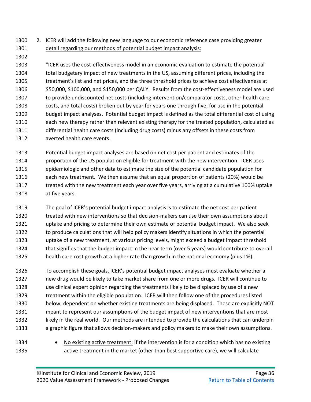## 2. ICER will add the following new language to our economic reference case providing greater detail regarding our methods of potential budget impact analysis:

- "ICER uses the cost-effectiveness model in an economic evaluation to estimate the potential total budgetary impact of new treatments in the US, assuming different prices, including the treatment's list and net prices, and the three threshold prices to achieve cost effectiveness at \$50,000, \$100,000, and \$150,000 per QALY. Results from the cost-effectiveness model are used to provide undiscounted net costs (including intervention/comparator costs, other health care costs, and total costs) broken out by year for years one through five, for use in the potential budget impact analyses. Potential budget impact is defined as the total differential cost of using each new therapy rather than relevant existing therapy for the treated population, calculated as differential health care costs (including drug costs) minus any offsets in these costs from averted health care events.
- Potential budget impact analyses are based on net cost per patient and estimates of the proportion of the US population eligible for treatment with the new intervention. ICER uses epidemiologic and other data to estimate the size of the potential candidate population for each new treatment. We then assume that an equal proportion of patients (20%) would be 1317 treated with the new treatment each year over five years, arriving at a cumulative 100% uptake at five years.
- The goal of ICER's potential budget impact analysis is to estimate the net cost per patient treated with new interventions so that decision-makers can use their own assumptions about uptake and pricing to determine their own estimate of potential budget impact. We also seek to produce calculations that will help policy makers identify situations in which the potential uptake of a new treatment, at various pricing levels, might exceed a budget impact threshold that signifies that the budget impact in the near term (over 5 years) would contribute to overall health care cost growth at a higher rate than growth in the national economy (plus 1%).
- To accomplish these goals, ICER's potential budget impact analyses must evaluate whether a new drug would be likely to take market share from one or more drugs. ICER will continue to use clinical expert opinion regarding the treatments likely to be displaced by use of a new treatment within the eligible population. ICER will then follow one of the procedures listed below, dependent on whether existing treatments are being displaced. These are explicitly NOT meant to represent our assumptions of the budget impact of new interventions that are most likely in the real world. Our methods are intended to provide the calculations that can underpin a graphic figure that allows decision-makers and policy makers to make their own assumptions.
- 

 • No existing active treatment: If the intervention is for a condition which has no existing active treatment in the market (other than best supportive care), we will calculate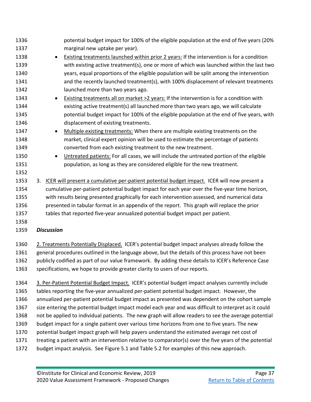| 1336 | potential budget impact for 100% of the eligible population at the end of five years (20%            |
|------|------------------------------------------------------------------------------------------------------|
| 1337 | marginal new uptake per year).                                                                       |
| 1338 | Existing treatments launched within prior 2 years: If the intervention is for a condition            |
| 1339 | with existing active treatment(s), one or more of which was launched within the last two             |
| 1340 | years, equal proportions of the eligible population will be split among the intervention             |
| 1341 | and the recently launched treatment(s), with 100% displacement of relevant treatments                |
| 1342 | launched more than two years ago.                                                                    |
| 1343 | Existing treatments all on market >2 years: If the intervention is for a condition with              |
| 1344 | existing active treatment(s) all launched more than two years ago, we will calculate                 |
| 1345 | potential budget impact for 100% of the eligible population at the end of five years, with           |
| 1346 | displacement of existing treatments.                                                                 |
| 1347 | Multiple existing treatments: When there are multiple existing treatments on the<br>$\bullet$        |
| 1348 | market, clinical expert opinion will be used to estimate the percentage of patients                  |
| 1349 | converted from each existing treatment to the new treatment.                                         |
| 1350 | Untreated patients: For all cases, we will include the untreated portion of the eligible             |
| 1351 | population, as long as they are considered eligible for the new treatment.                           |
| 1352 |                                                                                                      |
| 1353 | ICER will present a cumulative per-patient potential budget impact. ICER will now present a<br>3.    |
| 1354 | cumulative per-patient potential budget impact for each year over the five-year time horizon,        |
| 1355 | with results being presented graphically for each intervention assessed, and numerical data          |
| 1356 | presented in tabular format in an appendix of the report. This graph will replace the prior          |
| 1357 | tables that reported five-year annualized potential budget impact per patient.                       |
| 1358 |                                                                                                      |
| 1359 | <b>Discussion</b>                                                                                    |
| 1360 | 2. Treatments Potentially Displaced. ICER's potential budget impact analyses already follow the      |
| 1361 | general procedures outlined in the language above, but the details of this process have not been     |
| 1362 | publicly codified as part of our value framework. By adding these details to ICER's Reference Case   |
| 1363 | specifications, we hope to provide greater clarity to users of our reports.                          |
| 1364 | 3. Per-Patient Potential Budget Impact. ICER's potential budget impact analyses currently include    |
| 1365 | tables reporting the five-year annualized per-patient potential budget impact. However, the          |
| 1366 | annualized per-patient potential budget impact as presented was dependent on the cohort sample       |
| 1367 | size entering the potential budget impact model each year and was difficult to interpret as it could |
| 1368 | not be applied to individual patients. The new graph will allow readers to see the average potential |
| 1369 | budget impact for a single patient over various time horizons from one to five years. The new        |
| 1370 | potential budget impact graph will help payers understand the estimated average net cost of          |

- treating a patient with an intervention relative to comparator(s) over the five years of the potential
- budget impact analysis. See Figure 5.1 and Table 5.2 for examples of this new approach.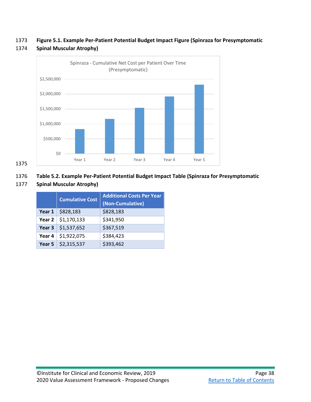1373 **Figure 5.1. Example Per-Patient Potential Budget Impact Figure (Spinraza for Presymptomatic** 



#### 1374 **Spinal Muscular Atrophy)**

1375

## 1376 **Table 5.2. Example Per-Patient Potential Budget Impact Table (Spinraza for Presymptomatic**

### 1377 **Spinal Muscular Atrophy)**

|  | <b>Cumulative Cost</b>     | <b>Additional Costs Per Year</b> |
|--|----------------------------|----------------------------------|
|  |                            | (Non-Cumulative)                 |
|  | Year $1   $828,183$        | \$828,183                        |
|  | Year $2   $1,170,133$      | \$341,950                        |
|  | Year 3 $\vert$ \$1,537,652 | \$367,519                        |
|  | Year 4 $\vert$ \$1,922,075 | \$384,423                        |
|  | Year 5 $\vert$ \$2,315,537 | \$393,462                        |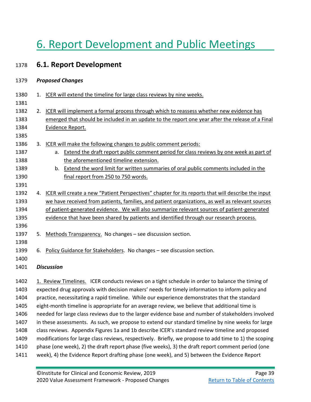# <span id="page-50-0"></span>6. Report Development and Public Meetings

## <span id="page-50-1"></span>1378 **6.1. Report Development**

| 1379 | <b>Proposed Changes</b> |  |
|------|-------------------------|--|
|      |                         |  |

| 1380 |    | 1. ICER will extend the timeline for large class reviews by nine weeks.                               |
|------|----|-------------------------------------------------------------------------------------------------------|
| 1381 |    |                                                                                                       |
| 1382 | 2. | ICER will implement a formal process through which to reassess whether new evidence has               |
| 1383 |    | emerged that should be included in an update to the report one year after the release of a Final      |
| 1384 |    | Evidence Report.                                                                                      |
| 1385 |    |                                                                                                       |
| 1386 | 3. | ICER will make the following changes to public comment periods:                                       |
| 1387 |    | a. Extend the draft report public comment period for class reviews by one week as part of             |
| 1388 |    | the aforementioned timeline extension.                                                                |
| 1389 |    | Extend the word limit for written summaries of oral public comments included in the<br>b.             |
| 1390 |    | final report from 250 to 750 words.                                                                   |
| 1391 |    |                                                                                                       |
| 1392 |    | 4. ICER will create a new "Patient Perspectives" chapter for its reports that will describe the input |
| 1393 |    | we have received from patients, families, and patient organizations, as well as relevant sources      |
| 1394 |    | of patient-generated evidence. We will also summarize relevant sources of patient-generated           |
| 1395 |    | evidence that have been shared by patients and identified through our research process.               |
| 1396 |    |                                                                                                       |
| 1397 | 5. | Methods Transparency. No changes - see discussion section.                                            |
| 1398 |    |                                                                                                       |
| 1399 | 6. | Policy Guidance for Stakeholders. No changes - see discussion section.                                |
| 1400 |    |                                                                                                       |
| 1401 |    | <b>Discussion</b>                                                                                     |
| 1402 |    | 1. Review Timelines. ICER conducts reviews on a tight schedule in order to balance the timing of      |
| 1403 |    | expected drug approvals with decision makers' needs for timely information to inform policy and       |
| 1404 |    | practice, necessitating a rapid timeline. While our experience demonstrates that the standard         |
| 1405 |    | eight-month timeline is appropriate for an average review, we believe that additional time is         |
|      |    |                                                                                                       |

- 1406 needed for large class reviews due to the larger evidence base and number of stakeholders involved 1407 in these assessments. As such, we propose to extend our standard timeline by nine weeks for large
- 1408 class reviews. Appendix Figures 1a and 1b describe ICER's standard review timeline and proposed
- 1409 modifications for large class reviews, respectively. Briefly, we propose to add time to 1) the scoping
- 1410 phase (one week), 2) the draft report phase (five weeks), 3) the draft report comment period (one
- 1411 week), 4) the Evidence Report drafting phase (one week), and 5) between the Evidence Report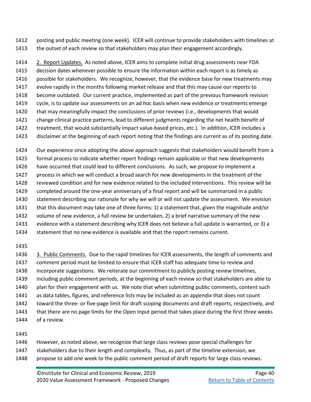posting and public meeting (one week). ICER will continue to provide stakeholders with timelines at the outset of each review so that stakeholders may plan their engagement accordingly.

 2. Report Updates. As noted above, ICER aims to complete initial drug assessments near FDA decision dates whenever possible to ensure the information within each report is as timely as possible for stakeholders. We recognize, however, that the evidence base for new treatments may evolve rapidly in the months following market release and that this may cause our reports to become outdated. Our current practice, implemented as part of the previous framework revision cycle, is to update our assessments on an ad hoc basis when new evidence or treatments emerge 1420 that may meaningfully impact the conclusions of prior reviews (i.e., developments that would change clinical practice patterns, lead to different judgments regarding the net health benefit of treatment, that would substantially impact value-based prices, etc.). In addition, ICER includes a

disclaimer at the beginning of each report noting that the findings are current as of its posting date.

Our experience since adopting the above approach suggests that stakeholders would benefit from a

- formal process to indicate whether report findings remain applicable or that new developments
- have occurred that could lead to different conclusions. As such, we propose to implement a
- process in which we will conduct a broad search for new developments in the treatment of the
- reviewed condition and for new evidence related to the included interventions. This review will be
- completed around the one-year anniversary of a final report and will be summarized in a public
- statement describing our rationale for why we will or will not update the assessment. We envision
- that this document may take one of three forms: 1) a statement that, given the magnitude and/or
- volume of new evidence, a full review be undertaken, 2) a brief narrative summary of the new evidence with a statement describing why ICER does not believe a full update is warranted, or 3) a
- statement that no new evidence is available and that the report remains current.

 3. Public Comments. Due to the rapid timelines for ICER assessments, the length of comments and comment period must be limited to ensure that ICER staff has adequate time to review and incorporate suggestions. We reiterate our commitment to publicly posting review timelines, including public comment periods, at the beginning of each review so that stakeholders are able to 1440 plan for their engagement with us. We note that when submitting public comments, content such as data tables, figures, and reference lists may be included as an appendix that does not count 1442 toward the three- or five-page limit for draft scoping documents and draft reports, respectively, and that there are no page limits for the Open Input period that takes place during the first three weeks of a review.

- However, as noted above, we recognize that large class reviews pose special challenges for
- stakeholders due to their length and complexity. Thus, as part of the timeline extension, we
- 1448 propose to add one week to the public comment period of draft reports for large class reviews.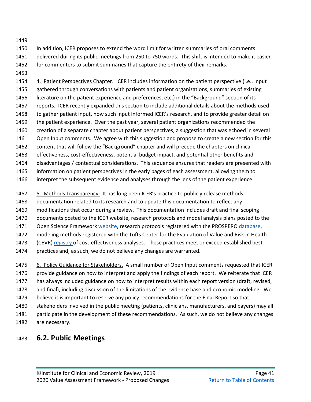In addition, ICER proposes to extend the word limit for written summaries of oral comments delivered during its public meetings from 250 to 750 words. This shift is intended to make it easier for commenters to submit summaries that capture the entirety of their remarks.

 4. Patient Perspectives Chapter. ICER includes information on the patient perspective (i.e., input 1455 gathered through conversations with patients and patient organizations, summaries of existing 1456 literature on the patient experience and preferences, etc.) in the "Background" section of its reports. ICER recently expanded this section to include additional details about the methods used to gather patient input, how such input informed ICER's research, and to provide greater detail on the patient experience. Over the past year, several patient organizations recommended the creation of a separate chapter about patient perspectives, a suggestion that was echoed in several Open Input comments. We agree with this suggestion and propose to create a new section for this content that will follow the "Background" chapter and will precede the chapters on clinical effectiveness, cost-effectiveness, potential budget impact, and potential other benefits and disadvantages / contextual considerations. This sequence ensures that readers are presented with information on patient perspectives in the early pages of each assessment, allowing them to interpret the subsequent evidence and analyses through the lens of the patient experience.

 5. Methods Transparency:It has long been ICER's practice to publicly release methods documentation related to its research and to update this documentation to reflect any modifications that occur during a review. This documentation includes draft and final scoping documents posted to the ICER website, research protocols and model analysis plans posted to the 1471 Open Science Framewor[k website,](https://osf.io/7awvd/) research protocols registered with the PROSPERO [database,](https://www.crd.york.ac.uk/prospero/) modeling methods registered with the Tufts Center for the Evaluation of Value and Risk in Health 1473 (CEVR) [registry o](https://cevr.tuftsmedicalcenter.org/databases/cea-registry)f cost-effectiveness analyses. These practices meet or exceed established best 1474 practices and, as such, we do not believe any changes are warranted.

1475 6. Policy Guidance for Stakeholders. A small number of Open Input comments requested that ICER 1476 provide guidance on how to interpret and apply the findings of each report. We reiterate that ICER has always included guidance on how to interpret results within each report version (draft, revised, and final), including discussion of the limitations of the evidence base and economic modeling. We believe it is important to reserve any policy recommendations for the Final Report so that stakeholders involved in the public meeting (patients, clinicians, manufacturers, and payers) may all 1481 participate in the development of these recommendations. As such, we do not believe any changes are necessary.

## <span id="page-52-0"></span>**6.2. Public Meetings**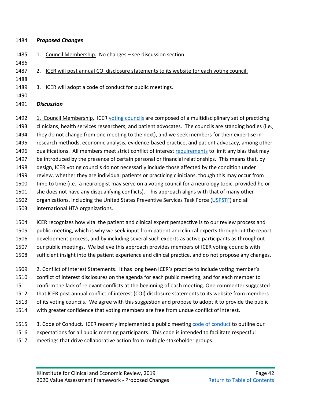#### *Proposed Changes*

- 1485 1. Council Membership. No changes see discussion section.
- 

2. ICER will post annual COI disclosure statements to its website for each voting council.

- 3. ICER will adopt a code of conduct for public meetings.
- 
- *Discussion*

1492 1. Council Membership. ICER [voting councils](https://icer-review.org/about/independent-voting-committees/) are composed of a multidisciplinary set of practicing clinicians, health services researchers, and patient advocates. The councils are standing bodies (i.e., they do not change from one meeting to the next), and we seek members for their expertise in research methods, economic analysis, evidence-based practice, and patient advocacy, among other 1496 qualifications. All members meet strict conflict of interes[t requirements](https://icer-review.org/methodology/rules-that-apply-to-icer/coi-voting-bodies/) to limit any bias that may be introduced by the presence of certain personal or financial relationships. This means that, by design, ICER voting councils do not necessarily include those affected by the condition under review, whether they are individual patients or practicing clinicians, though this may occur from time to time (i.e., a neurologist may serve on a voting council for a neurology topic, provided he or she does not have any disqualifying conflicts). This approach aligns with that of many other 1502 organizations, including the United States Preventive Services Task Force [\(USPSTF\)](https://www.uspreventiveservicestaskforce.org/Page/Name/about-the-uspstf) and all international HTA organizations.

 ICER recognizes how vital the patient and clinical expert perspective is to our review process and public meeting, which is why we seek input from patient and clinical experts throughout the report development process, and by including several such experts as active participants as throughout our public meetings. We believe this approach provides members of ICER voting councils with sufficient insight into the patient experience and clinical practice, and do not propose any changes.

 2. Conflict of Interest Statements. It has long been ICER's practice to include voting member's conflict of interest disclosures on the agenda for each public meeting, and for each member to confirm the lack of relevant conflicts at the beginning of each meeting. One commenter suggested that ICER post annual conflict of interest (COI) disclosure statements to its website from members of its voting councils. We agree with this suggestion and propose to adopt it to provide the public with greater confidence that voting members are free from undue conflict of interest.

1515 3. Code of Conduct. ICER recently implemented a public meeting [code of conduct](http://icer-review.org/wp-content/uploads/2019/07/ICER-Public-Meeting-Code-of-Conduct.pdf) to outline our expectations for all public meeting participants. This code is intended to facilitate respectful meetings that drive collaborative action from multiple stakeholder groups.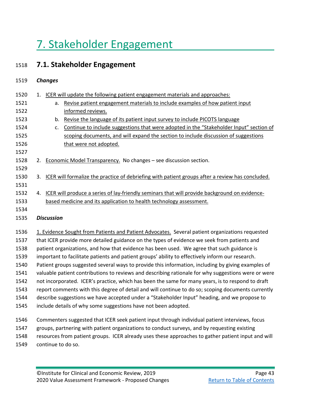# <span id="page-54-0"></span>7. Stakeholder Engagement

## <span id="page-54-1"></span>1518 **7.1. Stakeholder Engagement**

## 1519 *Changes*

| 1520 | $\mathbf{1}$ . | ICER will update the following patient engagement materials and approaches:                              |
|------|----------------|----------------------------------------------------------------------------------------------------------|
| 1521 |                | Revise patient engagement materials to include examples of how patient input<br>a.                       |
| 1522 |                | informed reviews.                                                                                        |
| 1523 |                | Revise the language of its patient input survey to include PICOTS language<br>b.                         |
| 1524 |                | Continue to include suggestions that were adopted in the "Stakeholder Input" section of<br>$C_{\bullet}$ |
| 1525 |                | scoping documents, and will expand the section to include discussion of suggestions                      |
| 1526 |                | that were not adopted.                                                                                   |
| 1527 |                |                                                                                                          |
| 1528 |                | 2. Economic Model Transparency. No changes - see discussion section.                                     |
| 1529 |                |                                                                                                          |
| 1530 | 3.             | ICER will formalize the practice of debriefing with patient groups after a review has concluded.         |
| 1531 |                |                                                                                                          |
| 1532 |                | 4. ICER will produce a series of lay-friendly seminars that will provide background on evidence-         |
| 1533 |                | based medicine and its application to health technology assessment.                                      |
| 1534 |                |                                                                                                          |
| 1535 |                | <b>Discussion</b>                                                                                        |
|      |                |                                                                                                          |
| 1536 |                | 1. Evidence Sought from Patients and Patient Advocates. Several patient organizations requested          |
| 1537 |                | that ICER provide more detailed guidance on the types of evidence we seek from patients and              |
| 1538 |                | patient organizations, and how that evidence has been used. We agree that such guidance is               |
| 1539 |                | important to facilitate patients and patient groups' ability to effectively inform our research.         |
|      |                |                                                                                                          |

- 1540 Patient groups suggested several ways to provide this information, including by giving examples of
- 1541 valuable patient contributions to reviews and describing rationale for why suggestions were or were
- 1542 not incorporated. ICER's practice, which has been the same for many years, is to respond to draft
- 1543 report comments with this degree of detail and will continue to do so; scoping documents currently
- 1544 describe suggestions we have accepted under a "Stakeholder Input" heading, and we propose to
- 1545 include details of why some suggestions have not been adopted.
- 1546 Commenters suggested that ICER seek patient input through individual patient interviews, focus 1547 groups, partnering with patient organizations to conduct surveys, and by requesting existing 1548 resources from patient groups. ICER already uses these approaches to gather patient input and will 1549 continue to do so.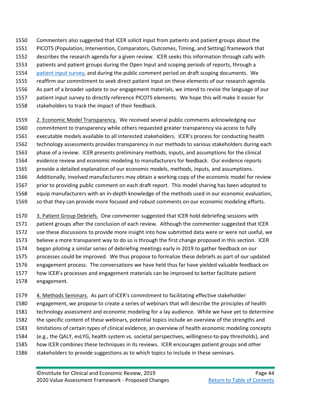- Commenters also suggested that ICER solicit input from patients and patient groups about the PICOTS (Population, Intervention, Comparators, Outcomes, Timing, and Setting) framework that
- describes the research agenda for a given review. ICER seeks this information through calls with
- patients and patient groups during the Open Input and scoping periods of reports, through a
- [patient input survey,](https://icer-review.org/patient-guide-to-open-input/) and during the public comment period on draft scoping documents. We
- reaffirm our commitment to seek direct patient input on these elements of our research agenda.
- As part of a broader update to our engagement materials, we intend to revise the language of our
- patient input survey to directly reference PICOTS elements. We hope this will make it easier for
- 1558 stakeholders to track the impact of their feedback.
- 1559 2. Economic Model Transparency. We received several public comments acknowledging our commitment to transparency while others requested greater transparency via access to fully executable models available to all interested stakeholders.ICER's process for conducting health technology assessments provides transparency in our methods to various stakeholders during each phase of a review. ICER presents preliminary methods, inputs, and assumptions for the clinical evidence review and economic modeling to manufacturers for feedback. Our evidence reports provide a detailed explanation of our economic models, methods, inputs, and assumptions. Additionally, involved manufacturers may obtain a working copy of the economic model for review 1567 prior to providing public comment on each draft report. This model sharing has been adopted to equip manufacturers with an in-depth knowledge of the methods used in our economic evaluation, so that they can provide more focused and robust comments on our economic modeling efforts.
- 3. Patient Group Debriefs. One commenter suggested that ICER hold debriefing sessions with patient groups after the conclusion of each review. Although the commenter suggested that ICER use these discussions to provide more insight into how submitted data were or were not useful, we believe a more transparent way to do so is through the first change proposed in this section. ICER began piloting a similar series of debriefing meetings early in 2019 to gather feedback on our processes could be improved. We thus propose to formalize these debriefs as part of our updated engagement process. The conversations we have held thus far have yielded valuable feedback on how ICER's processes and engagement materials can be improved to better facilitate patient engagement.
- 1579 4. Methods Seminars. As part of ICER's commitment to facilitating effective stakeholder engagement, we propose to create a series of webinars that will describe the principles of health technology assessment and economic modeling for a lay audience. While we have yet to determine the specific content of these webinars, potential topics include an overview of the strengths and limitations of certain types of clinical evidence, an overview of health economic modeling concepts (e.g., the QALY, evLYG, health system vs. societal perspectives, willingness-to-pay thresholds), and how ICER combines these techniques in its reviews. ICER encourages patient groups and other 1586 stakeholders to provide suggestions as to which topics to include in these seminars.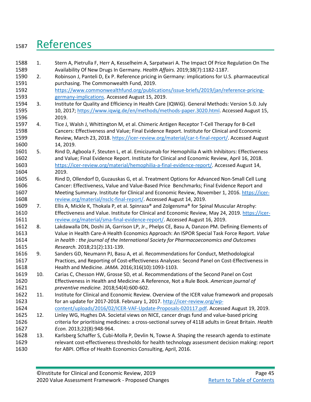# <span id="page-56-0"></span>1587 References

<span id="page-56-9"></span><span id="page-56-8"></span><span id="page-56-7"></span><span id="page-56-6"></span><span id="page-56-5"></span><span id="page-56-4"></span><span id="page-56-3"></span><span id="page-56-2"></span><span id="page-56-1"></span>

| 1588 | 1.  | Stern A, Pietrulla F, Herr A, Kesselheim A, Sarpatwari A. The Impact Of Price Regulation On The       |
|------|-----|-------------------------------------------------------------------------------------------------------|
| 1589 |     | Availability Of New Drugs In Germany. Health Affairs. 2019;38(7):1182-1187.                           |
| 1590 | 2.  | Robinson J, Panteli D, Ex P. Reference pricing in Germany: implications for U.S. pharmaceutical       |
| 1591 |     | purchasing. The Commonwealth Fund, 2019.                                                              |
| 1592 |     | https://www.commonwealthfund.org/publications/issue-briefs/2019/jan/reference-pricing-                |
| 1593 |     | germany-implications. Accessed August 15, 2019.                                                       |
| 1594 | 3.  | Institute for Quality and Efficiency in Health Care (IQWiG). General Methods: Version 5.0. July       |
| 1595 |     | 10, 2017; https://www.iqwig.de/en/methods/methods-paper.3020.html. Accessed August 15,                |
| 1596 |     | 2019.                                                                                                 |
| 1597 | 4.  | Tice J, Walsh J, Whittington M, et al. Chimeric Antigen Receptor T-Cell Therapy for B-Cell            |
| 1598 |     | Cancers: Effectiveness and Value; Final Evidence Report. Institute for Clinical and Economic          |
| 1599 |     | Review, March 23, 2018. https://icer-review.org/material/car-t-final-report/. Accessed August         |
| 1600 |     | 14, 2019.                                                                                             |
| 1601 | 5.  | Rind D, Agboola F, Steuten L, et al. Emicizumab for Hemophilia A with Inhibitors: Effectiveness       |
| 1602 |     | and Value; Final Evidence Report. Institute for Clinical and Economic Review, April 16, 2018.         |
| 1603 |     | https://icer-review.org/material/hemophilia-a-final-evidence-report/. Accessed August 14,             |
| 1604 |     | 2019.                                                                                                 |
| 1605 | 6.  | Rind D, Ollendorf D, Guzauskas G, et al. Treatment Options for Advanced Non-Small Cell Lung           |
| 1606 |     | Cancer: Effectiveness, Value and Value-Based Price Benchmarks; Final Evidence Report and              |
| 1607 |     | Meeting Summary. Institute for Clinical and Economic Review, November 1, 2016. https://icer-          |
| 1608 |     | review.org/material/nsclc-final-report/. Accessed August 14, 2019.                                    |
| 1609 | 7.  | Ellis A, Mickle K, Thokala P, et al. Spinraza® and Zolgensma® for Spinal Muscular Atrophy:            |
| 1610 |     | Effectiveness and Value. Institute for Clinical and Economic Review, May 24, 2019. https://icer-      |
| 1611 |     | review.org/material/sma-final-evidence-report/. Accessed August 16, 2019.                             |
| 1612 | 8.  | Lakdawalla DN, Doshi JA, Garrison LP, Jr., Phelps CE, Basu A, Danzon PM. Defining Elements of         |
| 1613 |     | Value in Health Care-A Health Economics Approach: An ISPOR Special Task Force Report. Value           |
| 1614 |     | in health : the journal of the International Society for Pharmacoeconomics and Outcomes               |
| 1615 |     | Research. 2018;21(2):131-139.                                                                         |
| 1616 | 9.  | Sanders GD, Neumann PJ, Basu A, et al. Recommendations for Conduct, Methodological                    |
| 1617 |     | Practices, and Reporting of Cost-effectiveness Analyses: Second Panel on Cost-Effectiveness in        |
| 1618 |     | Health and Medicine. JAMA. 2016;316(10):1093-1103.                                                    |
| 1619 | 10. | Carias C, Chesson HW, Grosse SD, et al. Recommendations of the Second Panel on Cost                   |
| 1620 |     | Effectiveness in Health and Medicine: A Reference, Not a Rule Book. American journal of               |
| 1621 |     | preventive medicine. 2018;54(4):600-602.                                                              |
| 1622 | 11. | Institute for Clinical and Economic Review. Overview of the ICER value framework and proposals        |
| 1623 |     | for an update for 2017-2018. February 1, 2017. http://icer-review.org/wp-                             |
| 1624 |     | content/uploads/2016/02/ICER-VAF-Update-Proposals-020117.pdf. Accessed August 19, 2019.               |
| 1625 | 12. | Linley WG, Hughes DA. Societal views on NICE, cancer drugs fund and value-based pricing               |
| 1626 |     | criteria for prioritising medicines: a cross-sectional survey of 4118 adults in Great Britain. Health |
| 1627 |     | Econ. 2013;22(8):948-964.                                                                             |
| 1628 | 13. | Karlsberg Schaffer S, Cubi-Molla P, Devlin N, Towse A. Shaping the research agenda to estimate        |
| 1629 |     | relevant cost-effectiveness thresholds for health technology assessment decision making: report       |
| 1630 |     | for ABPI. Office of Health Economics Consulting, April, 2016.                                         |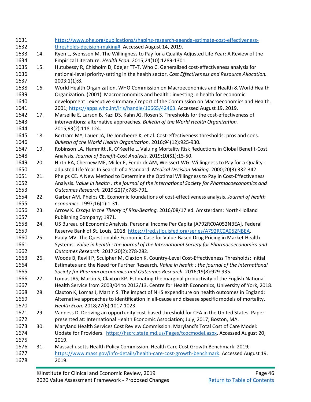<span id="page-57-16"></span><span id="page-57-15"></span><span id="page-57-14"></span><span id="page-57-13"></span><span id="page-57-12"></span><span id="page-57-11"></span><span id="page-57-10"></span><span id="page-57-9"></span><span id="page-57-8"></span><span id="page-57-7"></span><span id="page-57-6"></span><span id="page-57-5"></span><span id="page-57-4"></span><span id="page-57-3"></span><span id="page-57-2"></span><span id="page-57-1"></span><span id="page-57-0"></span>

| 1631 |     | https://www.ohe.org/publications/shaping-research-agenda-estimate-cost-effectiveness-             |
|------|-----|---------------------------------------------------------------------------------------------------|
| 1632 |     | thresholds-decision-making#. Accessed August 14, 2019.                                            |
| 1633 | 14. | Ryen L, Svensson M. The Willingness to Pay for a Quality Adjusted Life Year: A Review of the      |
| 1634 |     | Empirical Literature. Health Econ. 2015;24(10):1289-1301.                                         |
| 1635 | 15. | Hutubessy R, Chisholm D, Edejer TT-T, Who C. Generalized cost-effectiveness analysis for          |
| 1636 |     | national-level priority-setting in the health sector. Cost Effectiveness and Resource Allocation. |
| 1637 |     | 2003;1(1):8.                                                                                      |
| 1638 | 16. | World Health Organization. WHO Commission on Macroeconomics and Health & World Health             |
| 1639 |     | Organization. (2001). Macroeconomics and health : investing in health for economic                |
| 1640 |     | development : executive summary / report of the Commission on Macroeconomics and Health.          |
| 1641 |     | 2001; https://apps.who.int/iris/handle/10665/42463. Accessed August 19, 2019.                     |
| 1642 | 17. | Marseille E, Larson B, Kazi DS, Kahn JG, Rosen S. Thresholds for the cost-effectiveness of        |
| 1643 |     | interventions: alternative approaches. Bulletin of the World Health Organization.                 |
| 1644 |     | 2015;93(2):118-124.                                                                               |
| 1645 | 18. | Bertram MY, Lauer JA, De Joncheere K, et al. Cost-effectiveness thresholds: pros and cons.        |
| 1646 |     | Bulletin of the World Health Organization. 2016;94(12):925-930.                                   |
| 1647 | 19. | Robinson LA, Hammitt JK, O'Keeffe L. Valuing Mortality Risk Reductions in Global Benefit-Cost     |
| 1648 |     | Analysis. Journal of Benefit-Cost Analysis. 2019;10(S1):15-50.                                    |
| 1649 | 20. | Hirth RA, Chernew ME, Miller E, Fendrick AM, Weissert WG. Willingness to Pay for a Quality-       |
| 1650 |     | adjusted Life Year: In Search of a Standard. Medical Decision Making. 2000;20(3):332-342.         |
| 1651 | 21. | Phelps CE. A New Method to Determine the Optimal Willingness to Pay in Cost-Effectiveness         |
| 1652 |     | Analysis. Value in health : the journal of the International Society for Pharmacoeconomics and    |
| 1653 |     | Outcomes Research. 2019;22(7):785-791.                                                            |
| 1654 | 22. | Garber AM, Phelps CE. Economic foundations of cost-effectiveness analysis. Journal of health      |
| 1655 |     | economics. 1997;16(1):1-31.                                                                       |
| 1656 | 23. | Arrow K. Essays in the Theory of Risk-Bearing. 2016/08/17 ed. Amsterdam: North-Holland            |
| 1657 |     | Publishing Company; 1971.                                                                         |
| 1658 | 24. | US Bureau of Economic Analysis. Personal Income Per Capita [A792RC0A052NBEA]. Federal             |
| 1659 |     | Reserve Bank of St. Louis, 2018. https://fred.stlouisfed.org/series/A792RC0A052NBEA.              |
| 1660 | 25. | Pauly MV. The Questionable Economic Case for Value-Based Drug Pricing in Market Health            |
| 1661 |     | Systems. Value in health : the journal of the International Society for Pharmacoeconomics and     |
| 1662 |     | Outcomes Research. 2017;20(2):278-282.                                                            |
| 1663 | 26. | Woods B, Revill P, Sculpher M, Claxton K. Country-Level Cost-Effectiveness Thresholds: Initial    |
| 1664 |     | Estimates and the Need for Further Research. Value in health : the journal of the International   |
| 1665 |     | Society for Pharmacoeconomics and Outcomes Research. 2016;19(8):929-935.                          |
| 1666 | 27. | Lomas JRS, Martin S, Claxton KP. Estimating the marginal productivity of the English National     |
| 1667 |     | Health Service from 2003/04 to 2012/13. Centre for Health Economics, University of York, 2018.    |
| 1668 | 28. | Claxton K, Lomas J, Martin S. The impact of NHS expenditure on health outcomes in England:        |
| 1669 |     | Alternative approaches to identification in all-cause and disease specific models of mortality.   |
| 1670 |     | Health Econ. 2018;27(6):1017-1023.                                                                |
| 1671 | 29. | Vanness D. Deriving an opportunity cost-based threshold for CEA in the United States. Paper       |
| 1672 |     | presented at: International Health Economic Association; July, 2017; Boston, MA.                  |
| 1673 | 30. | Maryland Health Services Cost Review Commission. Maryland's Total Cost of Care Model:             |
| 1674 |     | Update for Providers. https://hscrc.state.md.us/Pages/tcocmodel.aspx. Accessed August 20,         |
| 1675 |     | 2019.                                                                                             |
| 1676 | 31. | Massachusetts Health Policy Commission. Health Care Cost Growth Benchmark. 2019;                  |
| 1677 |     | https://www.mass.gov/info-details/health-care-cost-growth-benchmark. Accessed August 19,          |
| 1678 |     | 2019.                                                                                             |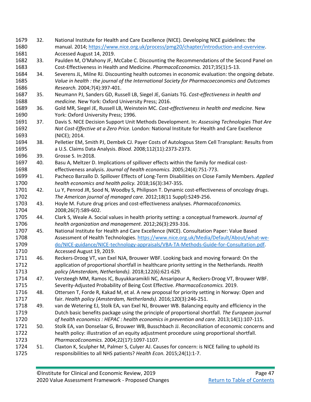<span id="page-58-19"></span><span id="page-58-18"></span><span id="page-58-17"></span><span id="page-58-16"></span><span id="page-58-15"></span><span id="page-58-14"></span><span id="page-58-13"></span><span id="page-58-12"></span><span id="page-58-11"></span><span id="page-58-10"></span><span id="page-58-9"></span><span id="page-58-8"></span><span id="page-58-7"></span><span id="page-58-6"></span><span id="page-58-5"></span><span id="page-58-4"></span><span id="page-58-3"></span><span id="page-58-2"></span><span id="page-58-1"></span><span id="page-58-0"></span>

| 1679 | 32. | National Institute for Health and Care Excellence (NICE). Developing NICE guidelines: the        |
|------|-----|--------------------------------------------------------------------------------------------------|
| 1680 |     | manual. 2014; https://www.nice.org.uk/process/pmg20/chapter/introduction-and-overview.           |
| 1681 |     | Accessed August 14, 2019.                                                                        |
| 1682 | 33. | Paulden M, O'Mahony JF, McCabe C. Discounting the Recommendations of the Second Panel on         |
| 1683 |     | Cost-Effectiveness in Health and Medicine. PharmacoEconomics. 2017;35(1):5-13.                   |
| 1684 | 34. | Severens JL, Milne RJ. Discounting health outcomes in economic evaluation: the ongoing debate.   |
| 1685 |     | Value in health : the journal of the International Society for Pharmacoeconomics and Outcomes    |
| 1686 |     | Research. 2004;7(4):397-401.                                                                     |
| 1687 | 35. | Neumann PJ, Sanders GD, Russell LB, Siegel JE, Ganiats TG. Cost-effectiveness in health and      |
| 1688 |     | medicine. New York: Oxford University Press; 2016.                                               |
| 1689 | 36. | Gold MR, Siegel JE, Russell LB, Weinstein MC. Cost-effectiveness in health and medicine. New     |
| 1690 |     | York: Oxford University Press; 1996.                                                             |
| 1691 | 37. | Davis S. NICE Decision Support Unit Methods Development. In: Assessing Technologies That Are     |
| 1692 |     | Not Cost-Effective at a Zero Price. London: National Institute for Health and Care Excellence    |
| 1693 |     | (NICE); 2014.                                                                                    |
| 1694 | 38. | Pelletier EM, Smith PJ, Dembek CJ. Payer Costs of Autologous Stem Cell Transplant: Results from  |
| 1695 |     | a U.S. Claims Data Analysis. Blood. 2008;112(11):2373-2373.                                      |
| 1696 | 39. | Grosse S. In:2018.                                                                               |
| 1697 | 40. | Basu A, Meltzer D. Implications of spillover effects within the family for medical cost-         |
| 1698 |     | effectiveness analysis. Journal of health economics. 2005;24(4):751-773.                         |
| 1699 | 41. | Pacheco Barzallo D. Spillover Effects of Long-Term Disabilities on Close Family Members. Applied |
| 1700 |     | health economics and health policy. 2018;16(3):347-355.                                          |
| 1701 | 42. | Lu Y, Penrod JR, Sood N, Woodby S, Philipson T. Dynamic cost-effectiveness of oncology drugs.    |
| 1702 |     | The American journal of managed care. 2012;18(11 Suppl):S249-256.                                |
| 1703 | 43. | Hoyle M. Future drug prices and cost-effectiveness analyses. PharmacoEconomics.                  |
| 1704 |     | 2008;26(7):589-602.                                                                              |
| 1705 | 44. | Clark S, Weale A. Social values in health priority setting: a conceptual framework. Journal of   |
| 1706 |     | health organization and management. 2012;26(3):293-316.                                          |
| 1707 | 45. | National Institute for Health and Care Excellence (NICE). Consultation Paper: Value Based        |
| 1708 |     | Assessment of Health Technologies. https://www.nice.org.uk/Media/Default/About/what-we-          |
| 1709 |     | do/NICE-guidance/NICE-technology-appraisals/VBA-TA-Methods-Guide-for-Consultation.pdf.           |
| 1710 |     | Accessed August 19, 2019.                                                                        |
| 1711 | 46. | Reckers-Droog VT, van Exel NJA, Brouwer WBF. Looking back and moving forward: On the             |
| 1712 |     | application of proportional shortfall in healthcare priority setting in the Netherlands. Health  |
| 1713 |     | policy (Amsterdam, Netherlands). 2018;122(6):621-629.                                            |
| 1714 | 47. | Versteegh MM, Ramos IC, Buyukkaramikli NC, Ansaripour A, Reckers-Droog VT, Brouwer WBF.          |
| 1715 |     | Severity-Adjusted Probability of Being Cost Effective. PharmacoEconomics. 2019.                  |
| 1716 | 48. | Ottersen T, Forde R, Kakad M, et al. A new proposal for priority setting in Norway: Open and     |
| 1717 |     | fair. Health policy (Amsterdam, Netherlands). 2016;120(3):246-251.                               |
| 1718 | 49. | van de Wetering EJ, Stolk EA, van Exel NJ, Brouwer WB. Balancing equity and efficiency in the    |
| 1719 |     | Dutch basic benefits package using the principle of proportional shortfall. The European journal |
| 1720 |     | of health economics : HEPAC : health economics in prevention and care. 2013;14(1):107-115.       |
| 1721 | 50. | Stolk EA, van Donselaar G, Brouwer WB, Busschbach JJ. Reconciliation of economic concerns and    |
| 1722 |     | health policy: illustration of an equity adjustment procedure using proportional shortfall.      |
| 1723 |     | PharmacoEconomics. 2004;22(17):1097-1107.                                                        |
| 1724 | 51. | Claxton K, Sculpher M, Palmer S, Culyer AJ. Causes for concern: is NICE failing to uphold its    |
| 1725 |     | responsibilities to all NHS patients? Health Econ. 2015;24(1):1-7.                               |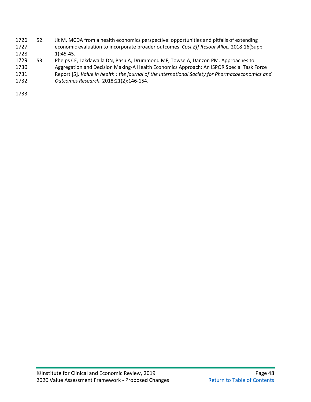- <span id="page-59-0"></span> 52. Jit M. MCDA from a health economics perspective: opportunities and pitfalls of extending economic evaluation to incorporate broader outcomes. *Cost Eff Resour Alloc.* 2018;16(Suppl 1):45-45.
- <span id="page-59-1"></span>53. Phelps CE, Lakdawalla DN, Basu A, Drummond MF, Towse A, Danzon PM. Approaches to
- Aggregation and Decision Making-A Health Economics Approach: An ISPOR Special Task Force
- Report [5]. *Value in health : the journal of the International Society for Pharmacoeconomics and Outcomes Research.* 2018;21(2):146-154.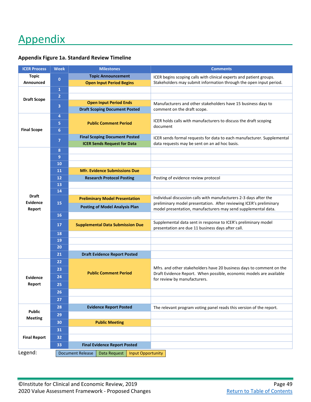# <span id="page-60-0"></span>Appendix

| <b>ICER Process</b> | <b>Week</b>                                                         | <b>Milestones</b>                       | <b>Comments</b>                                                                                                                             |
|---------------------|---------------------------------------------------------------------|-----------------------------------------|---------------------------------------------------------------------------------------------------------------------------------------------|
| <b>Topic</b>        | $\bf{0}$                                                            | <b>Topic Announcement</b>               | ICER begins scoping calls with clinical experts and patient groups.                                                                         |
| Announced           |                                                                     | <b>Open Input Period Begins</b>         | Stakeholders may submit information through the open input period.                                                                          |
|                     | $\mathbf{1}$                                                        |                                         |                                                                                                                                             |
| <b>Draft Scope</b>  | $\overline{2}$                                                      |                                         |                                                                                                                                             |
|                     | 3                                                                   | <b>Open Input Period Ends</b>           | Manufacturers and other stakeholders have 15 business days to                                                                               |
|                     |                                                                     | <b>Draft Scoping Document Posted</b>    | comment on the draft scope.                                                                                                                 |
|                     | 4                                                                   |                                         | ICER holds calls with manufacturers to discuss the draft scoping                                                                            |
|                     | 5                                                                   | <b>Public Comment Period</b>            | document                                                                                                                                    |
| <b>Final Scope</b>  | 6                                                                   |                                         |                                                                                                                                             |
|                     | $\overline{7}$                                                      | <b>Final Scoping Document Posted</b>    | ICER sends formal requests for data to each manufacturer. Supplemental                                                                      |
|                     |                                                                     | <b>ICER Sends Request for Data</b>      | data requests may be sent on an ad hoc basis.                                                                                               |
|                     | 8                                                                   |                                         |                                                                                                                                             |
|                     | $\overline{9}$                                                      |                                         |                                                                                                                                             |
|                     | 10                                                                  |                                         |                                                                                                                                             |
|                     | 11                                                                  | <b>Mfr. Evidence Submissions Due</b>    |                                                                                                                                             |
|                     | 12                                                                  | <b>Research Protocol Posting</b>        | Posting of evidence review protocol                                                                                                         |
|                     | 13                                                                  |                                         |                                                                                                                                             |
| <b>Draft</b>        | 14                                                                  |                                         |                                                                                                                                             |
| Evidence            | 15                                                                  | <b>Preliminary Model Presentation</b>   | Individual discussion calls with manufacturers 2-3 days after the<br>preliminary model presentation. After reviewing ICER's preliminary     |
| Report              |                                                                     | <b>Posting of Model Analysis Plan</b>   | model presentation, manufacturers may send supplemental data.                                                                               |
|                     | 16                                                                  |                                         |                                                                                                                                             |
|                     | 17                                                                  | <b>Supplemental Data Submission Due</b> | Supplemental data sent in response to ICER's preliminary model                                                                              |
|                     |                                                                     |                                         | presentation are due 11 business days after call.                                                                                           |
|                     | 18                                                                  |                                         |                                                                                                                                             |
|                     | 19                                                                  |                                         |                                                                                                                                             |
|                     | 20                                                                  |                                         |                                                                                                                                             |
|                     | 21                                                                  | <b>Draft Evidence Report Posted</b>     |                                                                                                                                             |
|                     | 22                                                                  |                                         |                                                                                                                                             |
|                     | 23                                                                  | <b>Public Comment Period</b>            | Mfrs. and other stakeholders have 20 business days to comment on the<br>Draft Evidence Report. When possible, economic models are available |
| Evidence            | 24                                                                  |                                         | for review by manufacturers.                                                                                                                |
| Report              | 25                                                                  |                                         |                                                                                                                                             |
|                     | 26                                                                  |                                         |                                                                                                                                             |
|                     | 27                                                                  |                                         |                                                                                                                                             |
|                     | 28                                                                  | <b>Evidence Report Posted</b>           | The relevant program voting panel reads this version of the report.                                                                         |
| <b>Public</b>       | 29                                                                  |                                         |                                                                                                                                             |
| <b>Meeting</b>      | 30                                                                  | <b>Public Meeting</b>                   |                                                                                                                                             |
|                     |                                                                     |                                         |                                                                                                                                             |
|                     | 31                                                                  |                                         |                                                                                                                                             |
| <b>Final Report</b> | 32                                                                  |                                         |                                                                                                                                             |
|                     | 33                                                                  | <b>Final Evidence Report Posted</b>     |                                                                                                                                             |
| Legend:             | <b>Input Opportunity</b><br><b>Document Release</b><br>Data Request |                                         |                                                                                                                                             |

## **Appendix Figure 1a. Standard Review Timeline**